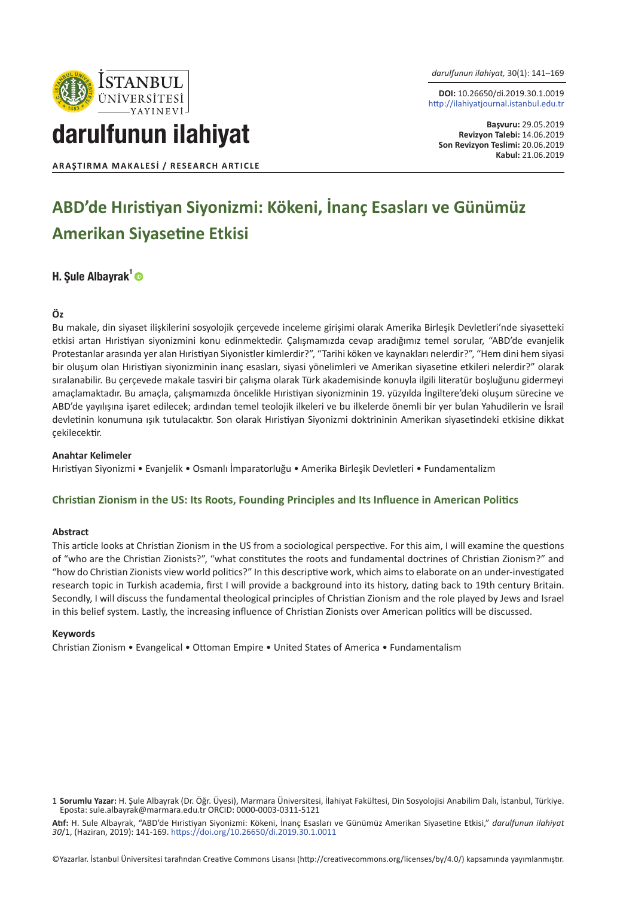

*darulfunun ilahiyat,* 30(1): 141–169

**DOI:** 10.26650/di.2019.30.1.0019 http://ilahiyatjournal.istanbul.edu.tr

**Başvuru:** 29.05.2019 **Revizyon Talebi:** 14.06.2019 **Son Revizyon Teslimi:** 20.06.2019 **Kabul:** 21.06.2019

darulfunun ilahiyat

#### **ARAŞTIRMA MAKALESI / RESEARCH ARTICLE**

# **ABD'de Hıristiyan Siyonizmi: Kökeni, İnanç Esasları ve Günümüz Amerikan Siyasetine Etkisi**

#### H. Sule Albayrak<sup>1</sup>

#### **Öz**

Bu makale, din siyaset ilişkilerini sosyolojik çerçevede inceleme girişimi olarak Amerika Birleşik Devletleri'nde siyasetteki etkisi artan Hıristiyan siyonizmini konu edinmektedir. Çalışmamızda cevap aradığımız temel sorular, "ABD'de evanjelik Protestanlar arasında yer alan Hıristiyan Siyonistler kimlerdir?", "Tarihi köken ve kaynakları nelerdir?", "Hem dini hem siyasi bir oluşum olan Hıristiyan siyonizminin inanç esasları, siyasi yönelimleri ve Amerikan siyasetine etkileri nelerdir?" olarak sıralanabilir. Bu çerçevede makale tasviri bir çalışma olarak Türk akademisinde konuyla ilgili literatür boşluğunu gidermeyi amaçlamaktadır. Bu amaçla, çalışmamızda öncelikle Hıristiyan siyonizminin 19. yüzyılda İngiltere'deki oluşum sürecine ve ABD'de yayılışına işaret edilecek; ardından temel teolojik ilkeleri ve bu ilkelerde önemli bir yer bulan Yahudilerin ve İsrail devletinin konumuna ışık tutulacaktır. Son olarak Hıristiyan Siyonizmi doktrininin Amerikan siyasetindeki etkisine dikkat çekilecektir.

#### **Anahtar Kelimeler**

Hıristiyan Siyonizmi • Evanjelik • Osmanlı İmparatorluğu • Amerika Birleşik Devletleri • Fundamentalizm

#### **Christian Zionism in the US: Its Roots, Founding Principles and Its Influence in American Politics**

#### **Abstract**

This article looks at Christian Zionism in the US from a sociological perspective. For this aim, I will examine the questions of "who are the Christian Zionists?", "what constitutes the roots and fundamental doctrines of Christian Zionism?" and "how do Christian Zionists view world politics?" In this descriptive work, which aims to elaborate on an under-investigated research topic in Turkish academia, first I will provide a background into its history, dating back to 19th century Britain. Secondly, I will discuss the fundamental theological principles of Christian Zionism and the role played by Jews and Israel in this belief system. Lastly, the increasing influence of Christian Zionists over American politics will be discussed.

#### **Keywords**

Christian Zionism • Evangelical • Ottoman Empire • United States of America • Fundamentalism

**Atıf:** H. Sule Albayrak, "ABD'de Hıristiyan Siyonizmi: Kökeni, İnanç Esasları ve Günümüz Amerikan Siyasetine Etkisi," *darulfunun ilahiyat 30*/1, (Haziran, 2019): 141-169. https://doi.org/10.26650/di.2019.30.1.0011

©Yazarlar. İstanbul Üniversitesi tarafından Creative Commons Lisansı (http://creativecommons.org/licenses/by/4.0/) kapsamında yayımlanmıştır.

<sup>1</sup> **Sorumlu Yazar:** H. Şule Albayrak (Dr. Öğr. Üyesi), Marmara Üniversitesi, İlahiyat Fakültesi, Din Sosyolojisi Anabilim Dalı, İstanbul, Türkiye. Eposta: sule.albayrak@marmara.edu.tr ORCID: 0000-0003-0311-5121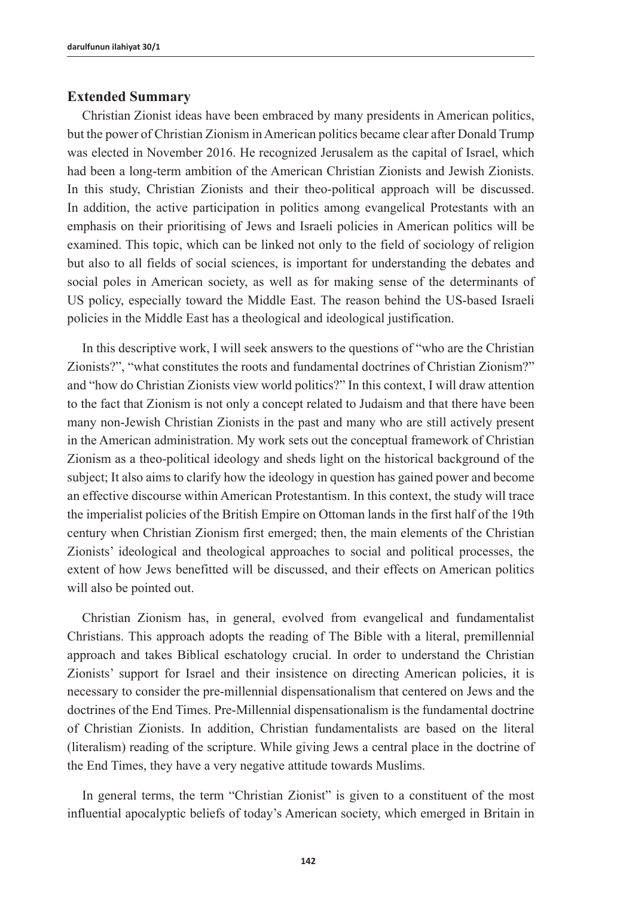#### **Extended Summary**

Christian Zionist ideas have been embraced by many presidents in American politics, but the power of Christian Zionism in American politics became clear after Donald Trump was elected in November 2016. He recognized Jerusalem as the capital of Israel, which had been a long-term ambition of the American Christian Zionists and Jewish Zionists. In this study, Christian Zionists and their theo-political approach will be discussed. In addition, the active participation in politics among evangelical Protestants with an emphasis on their prioritising of Jews and Israeli policies in American politics will be examined. This topic, which can be linked not only to the field of sociology of religion but also to all fields of social sciences, is important for understanding the debates and social poles in American society, as well as for making sense of the determinants of US policy, especially toward the Middle East. The reason behind the US-based Israeli policies in the Middle East has a theological and ideological justification.

In this descriptive work, I will seek answers to the questions of "who are the Christian Zionists?", "what constitutes the roots and fundamental doctrines of Christian Zionism?" and "how do Christian Zionists view world politics?" In this context, I will draw attention to the fact that Zionism is not only a concept related to Judaism and that there have been many non-Jewish Christian Zionists in the past and many who are still actively present in the American administration. My work sets out the conceptual framework of Christian Zionism as a theo-political ideology and sheds light on the historical background of the subject; It also aims to clarify how the ideology in question has gained power and become an effective discourse within American Protestantism. In this context, the study will trace the imperialist policies of the British Empire on Ottoman lands in the first half of the 19th century when Christian Zionism first emerged; then, the main elements of the Christian Zionists' ideological and theological approaches to social and political processes, the extent of how Jews benefitted will be discussed, and their effects on American politics will also be pointed out.

Christian Zionism has, in general, evolved from evangelical and fundamentalist Christians. This approach adopts the reading of The Bible with a literal, premillennial approach and takes Biblical eschatology crucial. In order to understand the Christian Zionists' support for Israel and their insistence on directing American policies, it is necessary to consider the pre-millennial dispensationalism that centered on Jews and the doctrines of the End Times. Pre-Millennial dispensationalism is the fundamental doctrine of Christian Zionists. In addition, Christian fundamentalists are based on the literal (literalism) reading of the scripture. While giving Jews a central place in the doctrine of the End Times, they have a very negative attitude towards Muslims.

In general terms, the term "Christian Zionist" is given to a constituent of the most influential apocalyptic beliefs of today's American society, which emerged in Britain in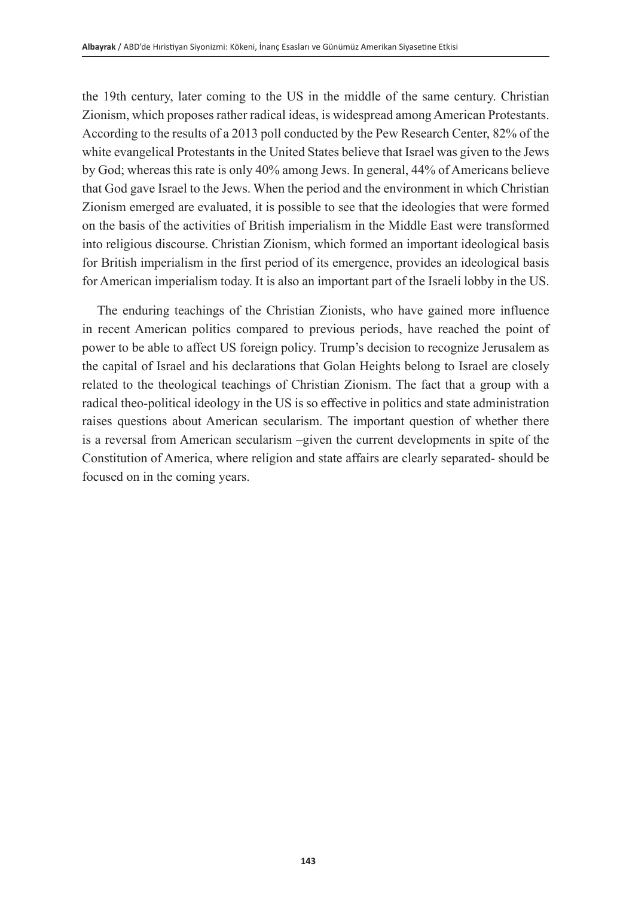the 19th century, later coming to the US in the middle of the same century. Christian Zionism, which proposes rather radical ideas, is widespread among American Protestants. According to the results of a 2013 poll conducted by the Pew Research Center, 82% of the white evangelical Protestants in the United States believe that Israel was given to the Jews by God; whereas this rate is only 40% among Jews. In general, 44% of Americans believe that God gave Israel to the Jews. When the period and the environment in which Christian Zionism emerged are evaluated, it is possible to see that the ideologies that were formed on the basis of the activities of British imperialism in the Middle East were transformed into religious discourse. Christian Zionism, which formed an important ideological basis for British imperialism in the first period of its emergence, provides an ideological basis for American imperialism today. It is also an important part of the Israeli lobby in the US.

The enduring teachings of the Christian Zionists, who have gained more influence in recent American politics compared to previous periods, have reached the point of power to be able to affect US foreign policy. Trump's decision to recognize Jerusalem as the capital of Israel and his declarations that Golan Heights belong to Israel are closely related to the theological teachings of Christian Zionism. The fact that a group with a radical theo-political ideology in the US is so effective in politics and state administration raises questions about American secularism. The important question of whether there is a reversal from American secularism –given the current developments in spite of the Constitution of America, where religion and state affairs are clearly separated- should be focused on in the coming years.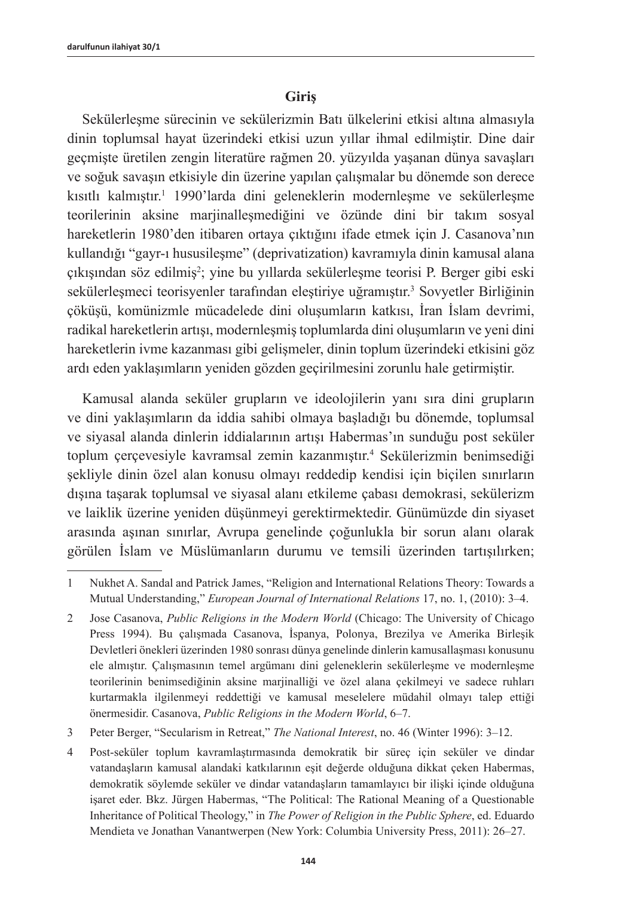### **Giriş**

Sekülerleşme sürecinin ve sekülerizmin Batı ülkelerini etkisi altına almasıyla dinin toplumsal hayat üzerindeki etkisi uzun yıllar ihmal edilmiştir. Dine dair geçmişte üretilen zengin literatüre rağmen 20. yüzyılda yaşanan dünya savaşları ve soğuk savaşın etkisiyle din üzerine yapılan çalışmalar bu dönemde son derece kısıtlı kalmıştır.<sup>1</sup> 1990'larda dini geleneklerin modernleşme ve sekülerleşme teorilerinin aksine marjinalleşmediğini ve özünde dini bir takım sosyal hareketlerin 1980'den itibaren ortaya çıktığını ifade etmek için J. Casanova'nın kullandığı "gayr-ı hususileşme" (deprivatization) kavramıyla dinin kamusal alana çıkışından söz edilmiş<sup>2</sup>; yine bu yıllarda sekülerleşme teorisi P. Berger gibi eski sekülerleşmeci teorisyenler tarafından eleştiriye uğramıştır.<sup>3</sup> Sovyetler Birliğinin çöküşü, komünizmle mücadelede dini oluşumların katkısı, İran İslam devrimi, radikal hareketlerin artışı, modernleşmiş toplumlarda dini oluşumların ve yeni dini hareketlerin ivme kazanması gibi gelişmeler, dinin toplum üzerindeki etkisini göz ardı eden yaklaşımların yeniden gözden geçirilmesini zorunlu hale getirmiştir.

Kamusal alanda seküler grupların ve ideolojilerin yanı sıra dini grupların ve dini yaklaşımların da iddia sahibi olmaya başladığı bu dönemde, toplumsal ve siyasal alanda dinlerin iddialarının artışı Habermas'ın sunduğu post seküler toplum çerçevesiyle kavramsal zemin kazanmıştır.<sup>4</sup> Sekülerizmin benimsediği şekliyle dinin özel alan konusu olmayı reddedip kendisi için biçilen sınırların dışına taşarak toplumsal ve siyasal alanı etkileme çabası demokrasi, sekülerizm ve laiklik üzerine yeniden düşünmeyi gerektirmektedir. Günümüzde din siyaset arasında aşınan sınırlar, Avrupa genelinde çoğunlukla bir sorun alanı olarak görülen İslam ve Müslümanların durumu ve temsili üzerinden tartışılırken;

<sup>1</sup> Nukhet A. Sandal and Patrick James, "Religion and International Relations Theory: Towards a Mutual Understanding," *European Journal of International Relations* 17, no. 1, (2010): 3–4.

<sup>2</sup> Jose Casanova, *Public Religions in the Modern World* (Chicago: The University of Chicago Press 1994). Bu çalışmada Casanova, İspanya, Polonya, Brezilya ve Amerika Birleşik Devletleri önekleri üzerinden 1980 sonrası dünya genelinde dinlerin kamusallaşması konusunu ele almıştır. Çalışmasının temel argümanı dini geleneklerin sekülerleşme ve modernleşme teorilerinin benimsediğinin aksine marjinalliği ve özel alana çekilmeyi ve sadece ruhları kurtarmakla ilgilenmeyi reddettiği ve kamusal meselelere müdahil olmayı talep ettiği önermesidir. Casanova, *Public Religions in the Modern World*, 6–7.

<sup>3</sup> Peter Berger, "Secularism in Retreat," *The National Interest*, no. 46 (Winter 1996): 3–12.

<sup>4</sup> Post-seküler toplum kavramlaştırmasında demokratik bir süreç için seküler ve dindar vatandaşların kamusal alandaki katkılarının eşit değerde olduğuna dikkat çeken Habermas, demokratik söylemde seküler ve dindar vatandaşların tamamlayıcı bir ilişki içinde olduğuna işaret eder. Bkz. Jürgen Habermas, "The Political: The Rational Meaning of a Questionable Inheritance of Political Theology," in *The Power of Religion in the Public Sphere*, ed. Eduardo Mendieta ve Jonathan Vanantwerpen (New York: Columbia University Press, 2011): 26–27.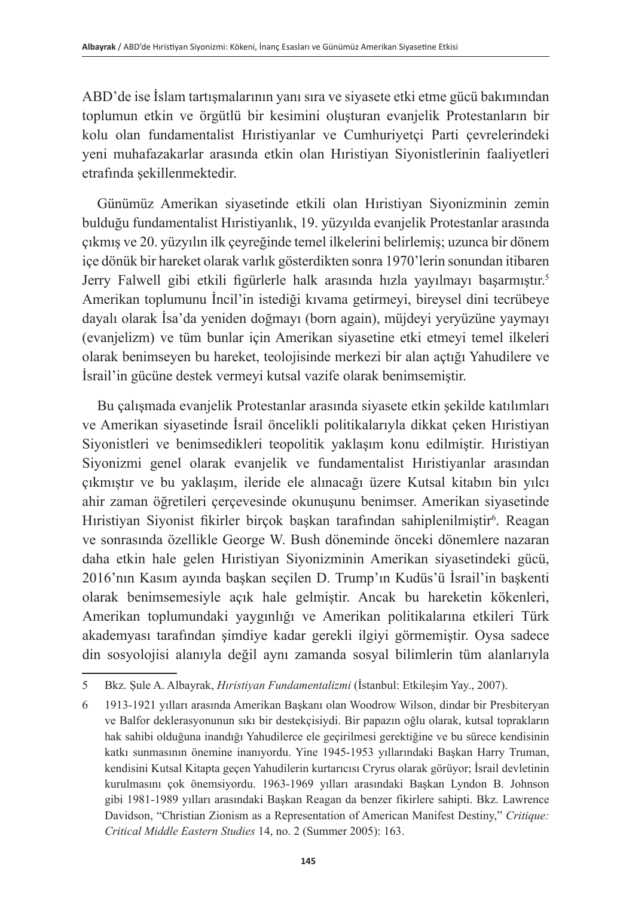ABD'de ise İslam tartışmalarının yanı sıra ve siyasete etki etme gücü bakımından toplumun etkin ve örgütlü bir kesimini oluşturan evanjelik Protestanların bir kolu olan fundamentalist Hıristiyanlar ve Cumhuriyetçi Parti çevrelerindeki yeni muhafazakarlar arasında etkin olan Hıristiyan Siyonistlerinin faaliyetleri etrafında şekillenmektedir.

Günümüz Amerikan siyasetinde etkili olan Hıristiyan Siyonizminin zemin bulduğu fundamentalist Hıristiyanlık, 19. yüzyılda evanjelik Protestanlar arasında çıkmış ve 20. yüzyılın ilk çeyreğinde temel ilkelerini belirlemiş; uzunca bir dönem içe dönük bir hareket olarak varlık gösterdikten sonra 1970'lerin sonundan itibaren Jerry Falwell gibi etkili figürlerle halk arasında hızla yayılmayı başarmıştır.<sup>5</sup> Amerikan toplumunu İncil'in istediği kıvama getirmeyi, bireysel dini tecrübeye dayalı olarak İsa'da yeniden doğmayı (born again), müjdeyi yeryüzüne yaymayı (evanjelizm) ve tüm bunlar için Amerikan siyasetine etki etmeyi temel ilkeleri olarak benimseyen bu hareket, teolojisinde merkezi bir alan açtığı Yahudilere ve İsrail'in gücüne destek vermeyi kutsal vazife olarak benimsemiştir.

Bu çalışmada evanjelik Protestanlar arasında siyasete etkin şekilde katılımları ve Amerikan siyasetinde İsrail öncelikli politikalarıyla dikkat çeken Hıristiyan Siyonistleri ve benimsedikleri teopolitik yaklaşım konu edilmiştir. Hıristiyan Siyonizmi genel olarak evanjelik ve fundamentalist Hıristiyanlar arasından çıkmıştır ve bu yaklaşım, ileride ele alınacağı üzere Kutsal kitabın bin yılcı ahir zaman öğretileri çerçevesinde okunuşunu benimser. Amerikan siyasetinde Hıristiyan Siyonist fikirler birçok başkan tarafından sahiplenilmiştir<sup>6</sup>. Reagan ve sonrasında özellikle George W. Bush döneminde önceki dönemlere nazaran daha etkin hale gelen Hıristiyan Siyonizminin Amerikan siyasetindeki gücü, 2016'nın Kasım ayında başkan seçilen D. Trump'ın Kudüs'ü İsrail'in başkenti olarak benimsemesiyle açık hale gelmiştir. Ancak bu hareketin kökenleri, Amerikan toplumundaki yaygınlığı ve Amerikan politikalarına etkileri Türk akademyası tarafından şimdiye kadar gerekli ilgiyi görmemiştir. Oysa sadece din sosyolojisi alanıyla değil aynı zamanda sosyal bilimlerin tüm alanlarıyla

<sup>5</sup> Bkz. Şule A. Albayrak, *Hıristiyan Fundamentalizmi* (İstanbul: Etkileşim Yay., 2007).

<sup>6</sup> 1913-1921 yılları arasında Amerikan Başkanı olan Woodrow Wilson, dindar bir Presbiteryan ve Balfor deklerasyonunun sıkı bir destekçisiydi. Bir papazın oğlu olarak, kutsal toprakların hak sahibi olduğuna inandığı Yahudilerce ele geçirilmesi gerektiğine ve bu sürece kendisinin katkı sunmasının önemine inanıyordu. Yine 1945-1953 yıllarındaki Başkan Harry Truman, kendisini Kutsal Kitapta geçen Yahudilerin kurtarıcısı Cryrus olarak görüyor; İsrail devletinin kurulmasını çok önemsiyordu. 1963-1969 yılları arasındaki Başkan Lyndon B. Johnson gibi 1981-1989 yılları arasındaki Başkan Reagan da benzer fikirlere sahipti. Bkz. Lawrence Davidson, "Christian Zionism as a Representation of American Manifest Destiny," *Critique: Critical Middle Eastern Studies* 14, no. 2 (Summer 2005): 163.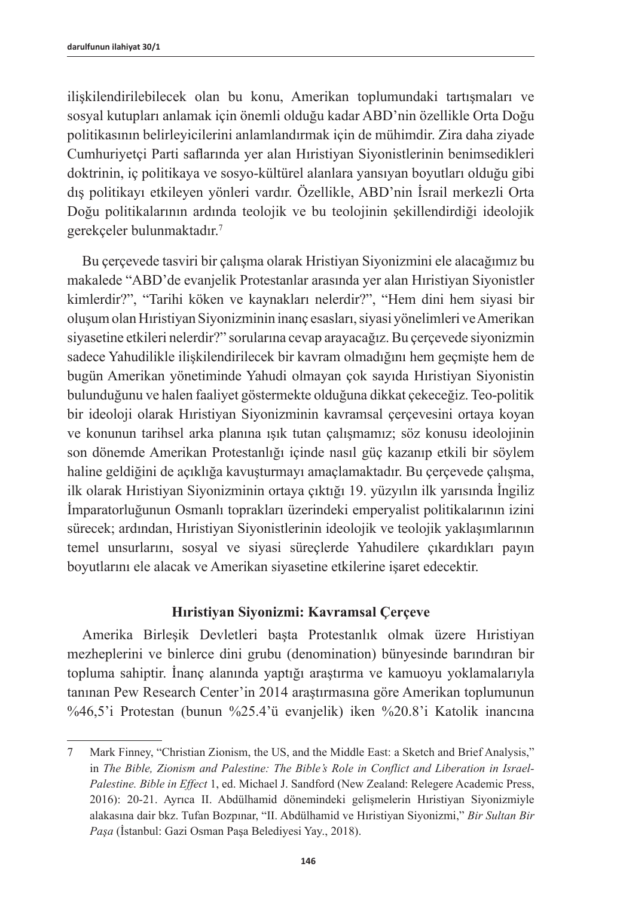ilişkilendirilebilecek olan bu konu, Amerikan toplumundaki tartışmaları ve sosyal kutupları anlamak için önemli olduğu kadar ABD'nin özellikle Orta Doğu politikasının belirleyicilerini anlamlandırmak için de mühimdir. Zira daha ziyade Cumhuriyetçi Parti saflarında yer alan Hıristiyan Siyonistlerinin benimsedikleri doktrinin, iç politikaya ve sosyo-kültürel alanlara yansıyan boyutları olduğu gibi dış politikayı etkileyen yönleri vardır. Özellikle, ABD'nin İsrail merkezli Orta Doğu politikalarının ardında teolojik ve bu teolojinin şekillendirdiği ideolojik gerekçeler bulunmaktadır.<sup>7</sup>

Bu çerçevede tasviri bir çalışma olarak Hristiyan Siyonizmini ele alacağımız bu makalede "ABD'de evanjelik Protestanlar arasında yer alan Hıristiyan Siyonistler kimlerdir?", "Tarihi köken ve kaynakları nelerdir?", "Hem dini hem siyasi bir oluşum olan Hıristiyan Siyonizminin inanç esasları, siyasi yönelimleri ve Amerikan siyasetine etkileri nelerdir?" sorularına cevap arayacağız. Bu çerçevede siyonizmin sadece Yahudilikle ilişkilendirilecek bir kavram olmadığını hem geçmişte hem de bugün Amerikan yönetiminde Yahudi olmayan çok sayıda Hıristiyan Siyonistin bulunduğunu ve halen faaliyet göstermekte olduğuna dikkat çekeceğiz. Teo-politik bir ideoloji olarak Hıristiyan Siyonizminin kavramsal çerçevesini ortaya koyan ve konunun tarihsel arka planına ışık tutan çalışmamız; söz konusu ideolojinin son dönemde Amerikan Protestanlığı içinde nasıl güç kazanıp etkili bir söylem haline geldiğini de açıklığa kavuşturmayı amaçlamaktadır. Bu çerçevede çalışma, ilk olarak Hıristiyan Siyonizminin ortaya çıktığı 19. yüzyılın ilk yarısında İngiliz İmparatorluğunun Osmanlı toprakları üzerindeki emperyalist politikalarının izini sürecek; ardından, Hıristiyan Siyonistlerinin ideolojik ve teolojik yaklaşımlarının temel unsurlarını, sosyal ve siyasi süreçlerde Yahudilere çıkardıkları payın boyutlarını ele alacak ve Amerikan siyasetine etkilerine işaret edecektir.

# **Hıristiyan Siyonizmi: Kavramsal Çerçeve**

Amerika Birleşik Devletleri başta Protestanlık olmak üzere Hıristiyan mezheplerini ve binlerce dini grubu (denomination) bünyesinde barındıran bir topluma sahiptir. İnanç alanında yaptığı araştırma ve kamuoyu yoklamalarıyla tanınan Pew Research Center'in 2014 araştırmasına göre Amerikan toplumunun %46,5'i Protestan (bunun %25.4'ü evanjelik) iken %20.8'i Katolik inancına

<sup>7</sup> Mark Finney, "Christian Zionism, the US, and the Middle East: a Sketch and Brief Analysis," in *The Bible, Zionism and Palestine: The Bible's Role in Conflict and Liberation in Israel-Palestine. Bible in Effect* 1, ed. Michael J. Sandford (New Zealand: Relegere Academic Press, 2016): 20-21. Ayrıca II. Abdülhamid dönemindeki gelişmelerin Hıristiyan Siyonizmiyle alakasına dair bkz. Tufan Bozpınar, "II. Abdülhamid ve Hıristiyan Siyonizmi," *Bir Sultan Bir Paşa* (İstanbul: Gazi Osman Paşa Belediyesi Yay., 2018).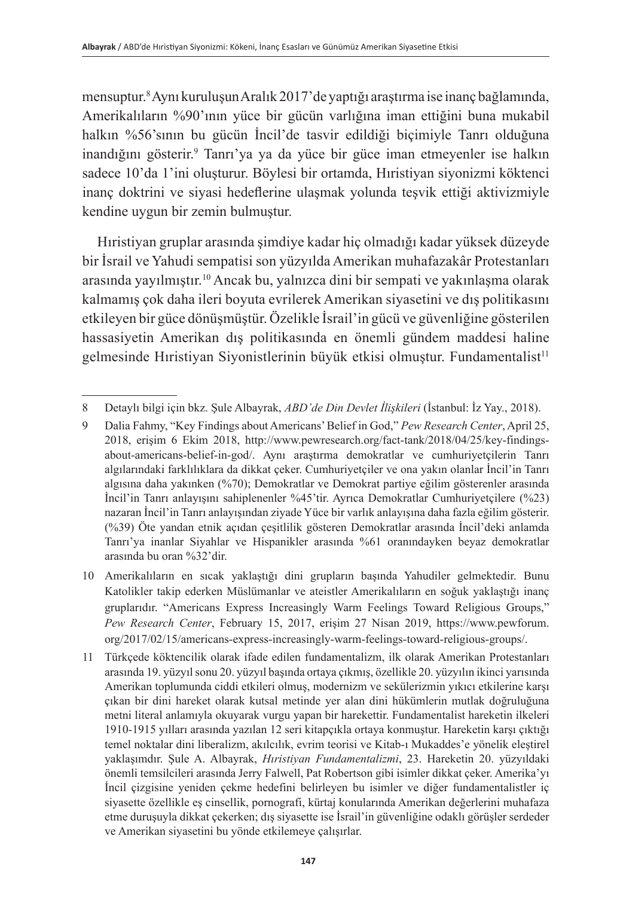mensuptur.8 Aynı kuruluşun Aralık 2017'de yaptığı araştırma ise inanç bağlamında, Amerikalıların %90'ının yüce bir gücün varlığına iman ettiğini buna mukabil halkın %56'sının bu gücün İncil'de tasvir edildiği biçimiyle Tanrı olduğuna inandığını gösterir.<sup>9</sup> Tanrı'ya ya da yüce bir güce iman etmeyenler ise halkın sadece 10'da 1'ini oluşturur. Böylesi bir ortamda, Hıristiyan siyonizmi köktenci inanç doktrini ve siyasi hedeflerine ulaşmak yolunda teşvik ettiği aktivizmiyle kendine uygun bir zemin bulmuştur.

Hıristiyan gruplar arasında şimdiye kadar hiç olmadığı kadar yüksek düzeyde bir İsrail ve Yahudi sempatisi son yüzyılda Amerikan muhafazakâr Protestanları arasında yayılmıştır.<sup>10</sup> Ancak bu, yalnızca dini bir sempati ve yakınlaşma olarak kalmamış çok daha ileri boyuta evrilerek Amerikan siyasetini ve dış politikasını etkileyen bir güce dönüşmüştür. Özelikle İsrail'in gücü ve güvenliğine gösterilen hassasiyetin Amerikan dış politikasında en önemli gündem maddesi haline gelmesinde Hıristiyan Siyonistlerinin büyük etkisi olmuştur. Fundamentalist<sup>11</sup>

<sup>8</sup> Detaylı bilgi için bkz. Şule Albayrak, *ABD'de Din Devlet İlişkileri* (İstanbul: İz Yay., 2018).

<sup>9</sup> Dalia Fahmy, "Key Findings about Americans' Belief in God," *Pew Research Center*, April 25, 2018, erişim 6 Ekim 2018, [http://www.pewresearch.org/fact-tank/2018/04/25/key-findings](http://www.pewresearch.org/fact-tank/2018/04/25/key-findings-about-americans-belief-in-god/)[about-americans-belief-in-god/](http://www.pewresearch.org/fact-tank/2018/04/25/key-findings-about-americans-belief-in-god/). Aynı araştırma demokratlar ve cumhuriyetçilerin Tanrı algılarındaki farklılıklara da dikkat çeker. Cumhuriyetçiler ve ona yakın olanlar İncil'in Tanrı algısına daha yakınken (%70); Demokratlar ve Demokrat partiye eğilim gösterenler arasında İncil'in Tanrı anlayışını sahiplenenler %45'tir. Ayrıca Demokratlar Cumhuriyetçilere (%23) nazaran İncil'in Tanrı anlayışından ziyade Yüce bir varlık anlayışına daha fazla eğilim gösterir. (%39) Öte yandan etnik açıdan çeşitlilik gösteren Demokratlar arasında İncil'deki anlamda Tanrı'ya inanlar Siyahlar ve Hispanikler arasında %61 oranındayken beyaz demokratlar arasında bu oran %32'dir.

<sup>10</sup> Amerikalıların en sıcak yaklaştığı dini grupların başında Yahudiler gelmektedir. Bunu Katolikler takip ederken Müslümanlar ve ateistler Amerikalıların en soğuk yaklaştığı inanç gruplarıdır. "Americans Express Increasingly Warm Feelings Toward Religious Groups," *Pew Research Center*, February 15, 2017, erişim 27 Nisan 2019, [https://www.pewforum.](https://www.pewforum.org/2017/02/15/americans-express-increasingly-warm-feelings-toward-religious-groups/) [org/2017/02/15/americans-express-increasingly-warm-feelings-toward-religious-groups/](https://www.pewforum.org/2017/02/15/americans-express-increasingly-warm-feelings-toward-religious-groups/).

<sup>11</sup> Türkçede köktencilik olarak ifade edilen fundamentalizm, ilk olarak Amerikan Protestanları arasında 19. yüzyıl sonu 20. yüzyıl başında ortaya çıkmış, özellikle 20. yüzyılın ikinci yarısında Amerikan toplumunda ciddi etkileri olmuş, modernizm ve sekülerizmin yıkıcı etkilerine karşı çıkan bir dini hareket olarak kutsal metinde yer alan dini hükümlerin mutlak doğruluğuna metni literal anlamıyla okuyarak vurgu yapan bir harekettir. Fundamentalist hareketin ilkeleri 1910-1915 yılları arasında yazılan 12 seri kitapçıkla ortaya konmuştur. Hareketin karşı çıktığı temel noktalar dini liberalizm, akılcılık, evrim teorisi ve Kitab-ı Mukaddes'e yönelik eleştirel yaklaşımdır. Şule A. Albayrak, *Hıristiyan Fundamentalizmi*, 23. Hareketin 20. yüzyıldaki önemli temsilcileri arasında Jerry Falwell, Pat Robertson gibi isimler dikkat çeker. Amerika'yı İncil çizgisine yeniden çekme hedefini belirleyen bu isimler ve diğer fundamentalistler iç siyasette özellikle eş cinsellik, pornografi, kürtaj konularında Amerikan değerlerini muhafaza etme duruşuyla dikkat çekerken; dış siyasette ise İsrail'in güvenliğine odaklı görüşler serdeder ve Amerikan siyasetini bu yönde etkilemeye çalışırlar.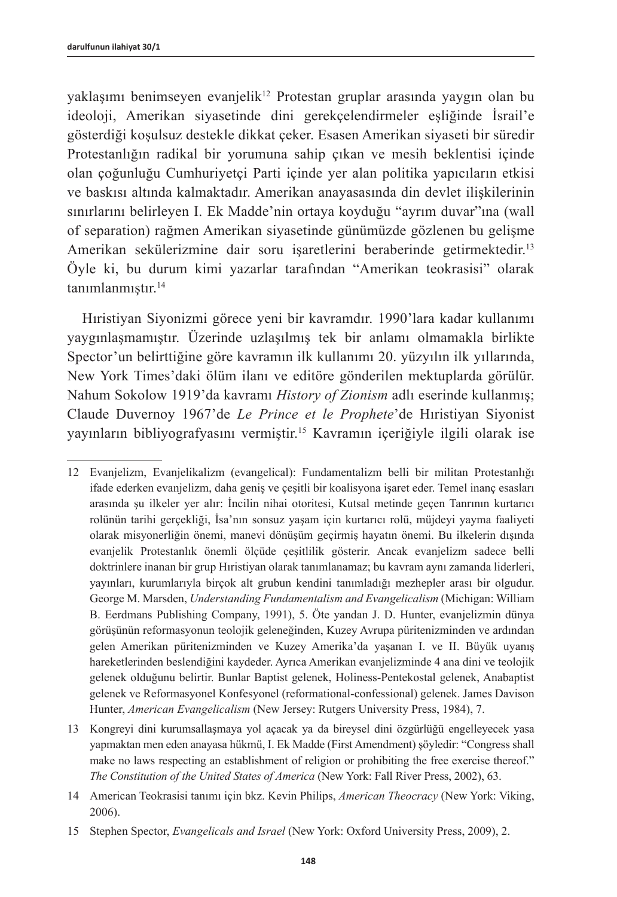$vaklasımı benimseven evanielik<sup>12</sup> Protestan gruplar arasında vaygun olan bu$ ideoloji, Amerikan siyasetinde dini gerekçelendirmeler eşliğinde İsrail'e gösterdiği koşulsuz destekle dikkat çeker. Esasen Amerikan siyaseti bir süredir Protestanlığın radikal bir yorumuna sahip çıkan ve mesih beklentisi içinde olan çoğunluğu Cumhuriyetçi Parti içinde yer alan politika yapıcıların etkisi ve baskısı altında kalmaktadır. Amerikan anayasasında din devlet ilişkilerinin sınırlarını belirleyen I. Ek Madde'nin ortaya koyduğu "ayrım duvar"ına (wall of separation) rağmen Amerikan siyasetinde günümüzde gözlenen bu gelişme Amerikan sekülerizmine dair soru işaretlerini beraberinde getirmektedir.<sup>13</sup> Öyle ki, bu durum kimi yazarlar tarafından "Amerikan teokrasisi" olarak tanımlanmıştır.<sup>14</sup>

Hıristiyan Siyonizmi görece yeni bir kavramdır. 1990'lara kadar kullanımı yaygınlaşmamıştır. Üzerinde uzlaşılmış tek bir anlamı olmamakla birlikte Spector'un belirttiğine göre kavramın ilk kullanımı 20. yüzyılın ilk yıllarında, New York Times'daki ölüm ilanı ve editöre gönderilen mektuplarda görülür. Nahum Sokolow 1919'da kavramı *History of Zionism* adlı eserinde kullanmış; Claude Duvernoy 1967'de *Le Prince et le Prophete*'de Hıristiyan Siyonist yayınların bibliyografyasını vermiştir.<sup>15</sup> Kavramın içeriğiyle ilgili olarak ise

<sup>12</sup> Evanjelizm, Evanjelikalizm (evangelical): Fundamentalizm belli bir militan Protestanlığı ifade ederken evanjelizm, daha geniş ve çeşitli bir koalisyona işaret eder. Temel inanç esasları arasında şu ilkeler yer alır: İncilin nihai otoritesi, Kutsal metinde geçen Tanrının kurtarıcı rolünün tarihi gerçekliği, İsa'nın sonsuz yaşam için kurtarıcı rolü, müjdeyi yayma faaliyeti olarak misyonerliğin önemi, manevi dönüşüm geçirmiş hayatın önemi. Bu ilkelerin dışında evanjelik Protestanlık önemli ölçüde çeşitlilik gösterir. Ancak evanjelizm sadece belli doktrinlere inanan bir grup Hıristiyan olarak tanımlanamaz; bu kavram aynı zamanda liderleri, yayınları, kurumlarıyla birçok alt grubun kendini tanımladığı mezhepler arası bir olgudur. George M. Marsden, *Understanding Fundamentalism and Evangelicalism* (Michigan: William B. Eerdmans Publishing Company, 1991), 5. Öte yandan J. D. Hunter, evanjelizmin dünya görüşünün reformasyonun teolojik geleneğinden, Kuzey Avrupa püritenizminden ve ardından gelen Amerikan püritenizminden ve Kuzey Amerika'da yaşanan I. ve II. Büyük uyanış hareketlerinden beslendiğini kaydeder. Ayrıca Amerikan evanjelizminde 4 ana dini ve teolojik gelenek olduğunu belirtir. Bunlar Baptist gelenek, Holiness-Pentekostal gelenek, Anabaptist gelenek ve Reformasyonel Konfesyonel (reformational-confessional) gelenek. James Davison Hunter, *American Evangelicalism* (New Jersey: Rutgers University Press, 1984), 7.

<sup>13</sup> Kongreyi dini kurumsallaşmaya yol açacak ya da bireysel dini özgürlüğü engelleyecek yasa yapmaktan men eden anayasa hükmü, I. Ek Madde (First Amendment) şöyledir: "Congress shall make no laws respecting an establishment of religion or prohibiting the free exercise thereof." *The Constitution of the United States of America* (New York: Fall River Press, 2002), 63.

<sup>14</sup> American Teokrasisi tanımı için bkz. Kevin Philips, *American Theocracy* (New York: Viking, 2006).

<sup>15</sup> Stephen Spector, *Evangelicals and Israel* (New York: Oxford University Press, 2009), 2.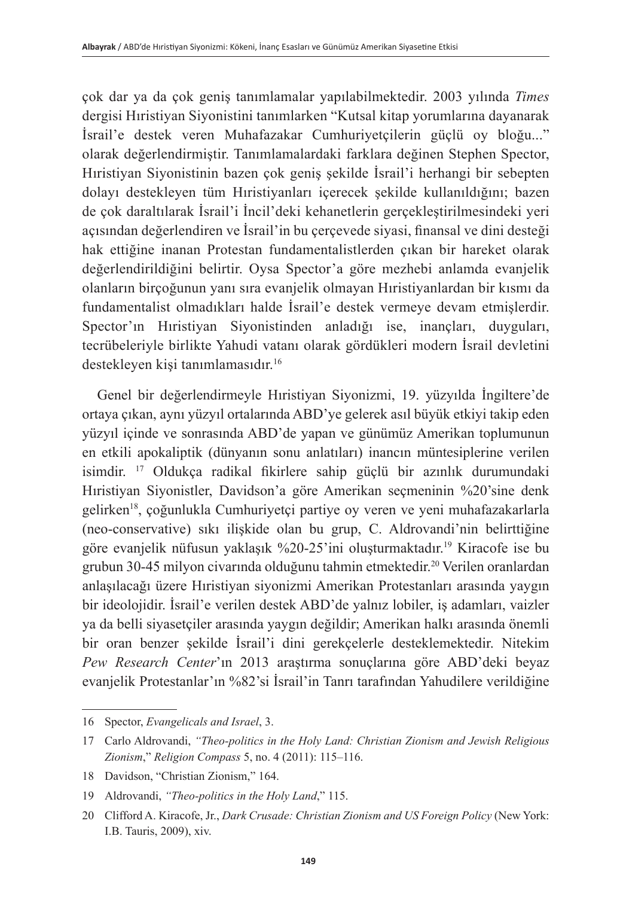çok dar ya da çok geniş tanımlamalar yapılabilmektedir. 2003 yılında *Times*  dergisi Hıristiyan Siyonistini tanımlarken "Kutsal kitap yorumlarına dayanarak İsrail'e destek veren Muhafazakar Cumhuriyetçilerin güçlü oy bloğu..." olarak değerlendirmiştir. Tanımlamalardaki farklara değinen Stephen Spector, Hıristiyan Siyonistinin bazen çok geniş şekilde İsrail'i herhangi bir sebepten dolayı destekleyen tüm Hıristiyanları içerecek şekilde kullanıldığını; bazen de çok daraltılarak İsrail'i İncil'deki kehanetlerin gerçekleştirilmesindeki yeri açısından değerlendiren ve İsrail'in bu çerçevede siyasi, finansal ve dini desteği hak ettiğine inanan Protestan fundamentalistlerden çıkan bir hareket olarak değerlendirildiğini belirtir. Oysa Spector'a göre mezhebi anlamda evanjelik olanların birçoğunun yanı sıra evanjelik olmayan Hıristiyanlardan bir kısmı da fundamentalist olmadıkları halde İsrail'e destek vermeye devam etmişlerdir. Spector'ın Hıristiyan Siyonistinden anladığı ise, inançları, duyguları, tecrübeleriyle birlikte Yahudi vatanı olarak gördükleri modern İsrail devletini destekleyen kişi tanımlamasıdır.<sup>16</sup>

Genel bir değerlendirmeyle Hıristiyan Siyonizmi, 19. yüzyılda İngiltere'de ortaya çıkan, aynı yüzyıl ortalarında ABD'ye gelerek asıl büyük etkiyi takip eden yüzyıl içinde ve sonrasında ABD'de yapan ve günümüz Amerikan toplumunun en etkili apokaliptik (dünyanın sonu anlatıları) inancın müntesiplerine verilen isimdir. 17 Oldukça radikal fikirlere sahip güçlü bir azınlık durumundaki Hıristiyan Siyonistler, Davidson'a göre Amerikan seçmeninin %20'sine denk gelirken18, çoğunlukla Cumhuriyetçi partiye oy veren ve yeni muhafazakarlarla (neo-conservative) sıkı ilişkide olan bu grup, C. Aldrovandi'nin belirttiğine göre evanjelik nüfusun yaklaşık %20-25'ini oluşturmaktadır.19 Kiracofe ise bu grubun 30-45 milyon civarında olduğunu tahmin etmektedir.<sup>20</sup> Verilen oranlardan anlaşılacağı üzere Hıristiyan siyonizmi Amerikan Protestanları arasında yaygın bir ideolojidir. İsrail'e verilen destek ABD'de yalnız lobiler, iş adamları, vaizler ya da belli siyasetçiler arasında yaygın değildir; Amerikan halkı arasında önemli bir oran benzer şekilde İsrail'i dini gerekçelerle desteklemektedir. Nitekim *Pew Research Center*'ın 2013 araştırma sonuçlarına göre ABD'deki beyaz evanjelik Protestanlar'ın %82'si İsrail'in Tanrı tarafından Yahudilere verildiğine

<sup>16</sup> Spector, *Evangelicals and Israel*, 3.

<sup>17</sup> Carlo Aldrovandi, *"Theo-politics in the Holy Land: Christian Zionism and Jewish Religious Zionism*," *Religion Compass* 5, no. 4 (2011): 115–116.

<sup>18</sup> Davidson, "Christian Zionism," 164.

<sup>19</sup> Aldrovandi, *"Theo-politics in the Holy Land*," 115.

<sup>20</sup> Clifford A. Kiracofe, Jr., *Dark Crusade: Christian Zionism and US Foreign Policy* (New York: I.B. Tauris, 2009), xiv.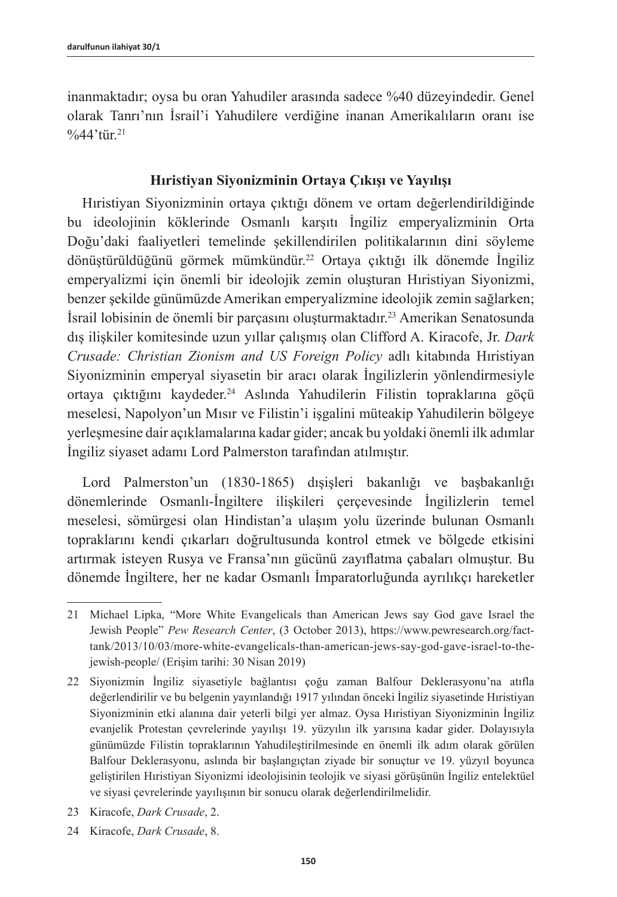inanmaktadır; oysa bu oran Yahudiler arasında sadece %40 düzeyindedir. Genel olarak Tanrı'nın İsrail'i Yahudilere verdiğine inanan Amerikalıların oranı ise  $\frac{9}{6}44'$ tür.<sup>21</sup>

# **Hıristiyan Siyonizminin Ortaya Çıkışı ve Yayılışı**

Hıristiyan Siyonizminin ortaya çıktığı dönem ve ortam değerlendirildiğinde bu ideolojinin köklerinde Osmanlı karşıtı İngiliz emperyalizminin Orta Doğu'daki faaliyetleri temelinde şekillendirilen politikalarının dini söyleme dönüştürüldüğünü görmek mümkündür.<sup>22</sup> Ortaya çıktığı ilk dönemde İngiliz emperyalizmi için önemli bir ideolojik zemin oluşturan Hıristiyan Siyonizmi, benzer şekilde günümüzde Amerikan emperyalizmine ideolojik zemin sağlarken; İsrail lobisinin de önemli bir parçasını oluşturmaktadır.23 Amerikan Senatosunda dış ilişkiler komitesinde uzun yıllar çalışmış olan Clifford A. Kiracofe, Jr. *Dark Crusade: Christian Zionism and US Foreign Policy* adlı kitabında Hıristiyan Siyonizminin emperyal siyasetin bir aracı olarak İngilizlerin yönlendirmesiyle ortaya çıktığını kaydeder.<sup>24</sup> Aslında Yahudilerin Filistin topraklarına göçü meselesi, Napolyon'un Mısır ve Filistin'i işgalini müteakip Yahudilerin bölgeye yerleşmesine dair açıklamalarına kadar gider; ancak bu yoldaki önemli ilk adımlar İngiliz siyaset adamı Lord Palmerston tarafından atılmıştır.

Lord Palmerston'un (1830-1865) dışişleri bakanlığı ve başbakanlığı dönemlerinde Osmanlı-İngiltere ilişkileri çerçevesinde İngilizlerin temel meselesi, sömürgesi olan Hindistan'a ulaşım yolu üzerinde bulunan Osmanlı topraklarını kendi çıkarları doğrultusunda kontrol etmek ve bölgede etkisini artırmak isteyen Rusya ve Fransa'nın gücünü zayıflatma çabaları olmuştur. Bu dönemde İngiltere, her ne kadar Osmanlı İmparatorluğunda ayrılıkçı hareketler

- 23 Kiracofe, *Dark Crusade*, 2.
- 24 Kiracofe, *Dark Crusade*, 8.

<sup>21</sup> Michael Lipka, "More White Evangelicals than American Jews say God gave Israel the Jewish People" *Pew Research Center*, (3 October 2013), [https://www.pewresearch.org/fact](https://www.pewresearch.org/fact-tank/2013/10/03/more-white-evangelicals-than-american-jews-say-god-gave-israel-to-the-jewish-people/)[tank/2013/10/03/more-white-evangelicals-than-american-jews-say-god-gave-israel-to-the](https://www.pewresearch.org/fact-tank/2013/10/03/more-white-evangelicals-than-american-jews-say-god-gave-israel-to-the-jewish-people/)[jewish-people/](https://www.pewresearch.org/fact-tank/2013/10/03/more-white-evangelicals-than-american-jews-say-god-gave-israel-to-the-jewish-people/) (Erişim tarihi: 30 Nisan 2019)

<sup>22</sup> Siyonizmin İngiliz siyasetiyle bağlantısı çoğu zaman Balfour Deklerasyonu'na atıfla değerlendirilir ve bu belgenin yayınlandığı 1917 yılından önceki İngiliz siyasetinde Hıristiyan Siyonizminin etki alanına dair yeterli bilgi yer almaz. Oysa Hıristiyan Siyonizminin İngiliz evanjelik Protestan çevrelerinde yayılışı 19. yüzyılın ilk yarısına kadar gider. Dolayısıyla günümüzde Filistin topraklarının Yahudileştirilmesinde en önemli ilk adım olarak görülen Balfour Deklerasyonu, aslında bir başlangıçtan ziyade bir sonuçtur ve 19. yüzyıl boyunca geliştirilen Hıristiyan Siyonizmi ideolojisinin teolojik ve siyasi görüşünün İngiliz entelektüel ve siyasi çevrelerinde yayılışının bir sonucu olarak değerlendirilmelidir.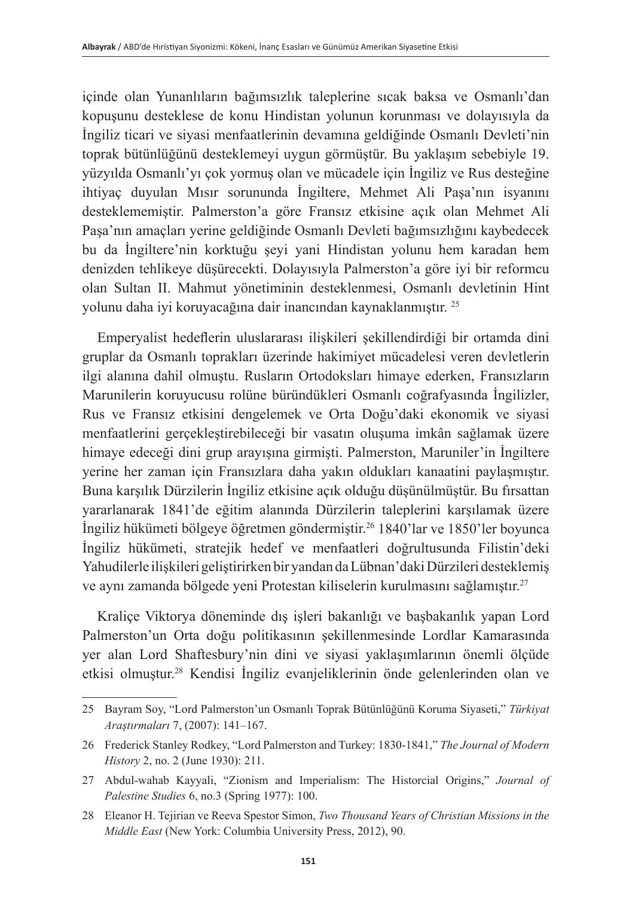içinde olan Yunanlıların bağımsızlık taleplerine sıcak baksa ve Osmanlı'dan kopuşunu desteklese de konu Hindistan yolunun korunması ve dolayısıyla da İngiliz ticari ve siyasi menfaatlerinin devamına geldiğinde Osmanlı Devleti'nin toprak bütünlüğünü desteklemeyi uygun görmüştür. Bu yaklaşım sebebiyle 19. yüzyılda Osmanlı'yı çok yormuş olan ve mücadele için İngiliz ve Rus desteğine ihtiyaç duyulan Mısır sorununda İngiltere, Mehmet Ali Paşa'nın isyanını desteklememiştir. Palmerston'a göre Fransız etkisine açık olan Mehmet Ali Paşa'nın amaçları yerine geldiğinde Osmanlı Devleti bağımsızlığını kaybedecek bu da İngiltere'nin korktuğu şeyi yani Hindistan yolunu hem karadan hem denizden tehlikeye düşürecekti. Dolayısıyla Palmerston'a göre iyi bir reformcu olan Sultan II. Mahmut yönetiminin desteklenmesi, Osmanlı devletinin Hint yolunu daha iyi koruyacağına dair inancından kaynaklanmıştır. <sup>25</sup>

Emperyalist hedeflerin uluslararası ilişkileri şekillendirdiği bir ortamda dini gruplar da Osmanlı toprakları üzerinde hakimiyet mücadelesi veren devletlerin ilgi alanına dahil olmuştu. Rusların Ortodoksları himaye ederken, Fransızların Marunilerin koruyucusu rolüne büründükleri Osmanlı coğrafyasında İngilizler, Rus ve Fransız etkisini dengelemek ve Orta Doğu'daki ekonomik ve siyasi menfaatlerini gerçekleştirebileceği bir vasatın oluşuma imkân sağlamak üzere himaye edeceği dini grup arayışına girmişti. Palmerston, Maruniler'in İngiltere yerine her zaman için Fransızlara daha yakın oldukları kanaatini paylaşmıştır. Buna karşılık Dürzilerin İngiliz etkisine açık olduğu düşünülmüştür. Bu fırsattan yararlanarak 1841'de eğitim alanında Dürzilerin taleplerini karşılamak üzere İngiliz hükümeti bölgeye öğretmen göndermiştir.26 1840'lar ve 1850'ler boyunca İngiliz hükümeti, stratejik hedef ve menfaatleri doğrultusunda Filistin'deki Yahudilerle ilişkileri geliştirirken bir yandan da Lübnan'daki Dürzileri desteklemiş ve aynı zamanda bölgede yeni Protestan kiliselerin kurulmasını sağlamıştır. 27

Kraliçe Viktorya döneminde dış işleri bakanlığı ve başbakanlık yapan Lord Palmerston'un Orta doğu politikasının şekillenmesinde Lordlar Kamarasında yer alan Lord Shaftesbury'nin dini ve siyasi yaklaşımlarının önemli ölçüde etkisi olmuştur.<sup>28</sup> Kendisi İngiliz evanjeliklerinin önde gelenlerinden olan ve

<sup>25</sup> Bayram Soy, "Lord Palmerston'un Osmanlı Toprak Bütünlüğünü Koruma Siyaseti," *Türkiyat Araştırmaları* 7, (2007): 141–167.

<sup>26</sup> Frederick Stanley Rodkey, "Lord Palmerston and Turkey: 1830-1841," *The Journal of Modern History* 2, no. 2 (June 1930): 211.

<sup>27</sup> Abdul-wahab Kayyali, "Zionism and Imperialism: The Historcial Origins," *Journal of Palestine Studies* 6, no.3 (Spring 1977): 100.

<sup>28</sup> Eleanor H. Tejirian ve Reeva Spestor Simon, *Two Thousand Years of Christian Missions in the Middle East* (New York: Columbia University Press, 2012), 90.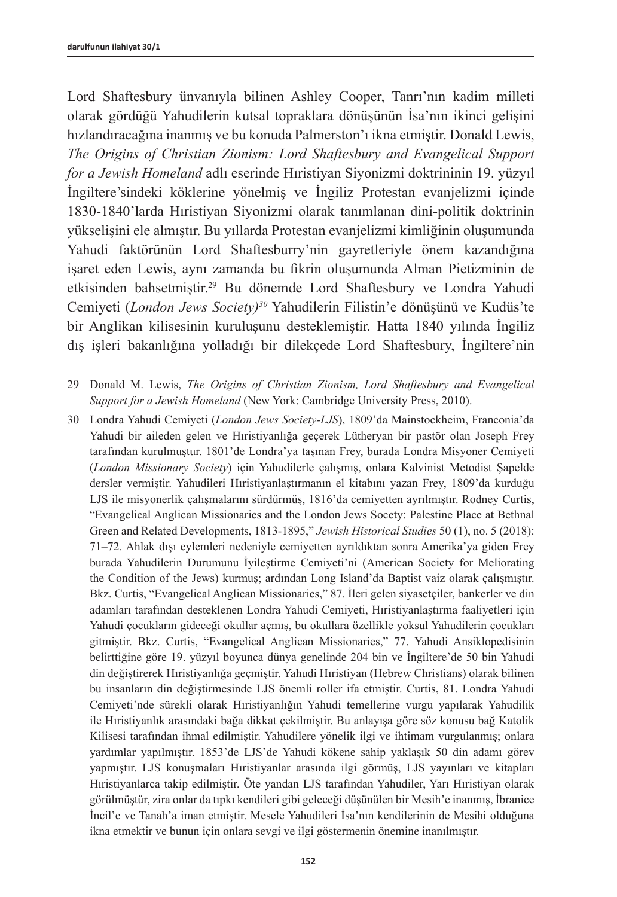Lord Shaftesbury ünvanıyla bilinen Ashley Cooper, Tanrı'nın kadim milleti olarak gördüğü Yahudilerin kutsal topraklara dönüşünün İsa'nın ikinci gelişini hızlandıracağına inanmış ve bu konuda Palmerston'ı ikna etmiştir. Donald Lewis, *The Origins of Christian Zionism: Lord Shaftesbury and Evangelical Support for a Jewish Homeland* adlı eserinde Hıristiyan Siyonizmi doktrininin 19. yüzyıl İngiltere'sindeki köklerine yönelmiş ve İngiliz Protestan evanjelizmi içinde 1830-1840'larda Hıristiyan Siyonizmi olarak tanımlanan dini-politik doktrinin yükselişini ele almıştır. Bu yıllarda Protestan evanjelizmi kimliğinin oluşumunda Yahudi faktörünün Lord Shaftesburry'nin gayretleriyle önem kazandığına işaret eden Lewis, aynı zamanda bu fikrin oluşumunda Alman Pietizminin de etkisinden bahsetmiştir.<sup>29</sup> Bu dönemde Lord Shaftesbury ve Londra Yahudi Cemiyeti (*London Jews Society)<sup>30</sup>* Yahudilerin Filistin'e dönüşünü ve Kudüs'te bir Anglikan kilisesinin kuruluşunu desteklemiştir. Hatta 1840 yılında İngiliz dış işleri bakanlığına yolladığı bir dilekçede Lord Shaftesbury, İngiltere'nin

29 Donald M. Lewis, *The Origins of Christian Zionism, Lord Shaftesbury and Evangelical Support for a Jewish Homeland* (New York: Cambridge University Press, 2010).

<sup>30</sup> Londra Yahudi Cemiyeti (*London Jews Society-LJS*), 1809'da Mainstockheim, Franconia'da Yahudi bir aileden gelen ve Hıristiyanlığa geçerek Lütheryan bir pastör olan Joseph Frey tarafından kurulmuştur. 1801'de Londra'ya taşınan Frey, burada Londra Misyoner Cemiyeti (*London Missionary Society*) için Yahudilerle çalışmış, onlara Kalvinist Metodist Şapelde dersler vermiştir. Yahudileri Hıristiyanlaştırmanın el kitabını yazan Frey, 1809'da kurduğu LJS ile misyonerlik çalışmalarını sürdürmüş, 1816'da cemiyetten ayrılmıştır. Rodney Curtis, "Evangelical Anglican Missionaries and the London Jews Socety: Palestine Place at Bethnal Green and Related Developments, 1813-1895," *Jewish Historical Studies* 50 (1), no. 5 (2018): 71–72. Ahlak dışı eylemleri nedeniyle cemiyetten ayrıldıktan sonra Amerika'ya giden Frey burada Yahudilerin Durumunu İyileştirme Cemiyeti'ni (American Society for Meliorating the Condition of the Jews) kurmuş; ardından Long Island'da Baptist vaiz olarak çalışmıştır. Bkz. Curtis, "Evangelical Anglican Missionaries," 87. İleri gelen siyasetçiler, bankerler ve din adamları tarafından desteklenen Londra Yahudi Cemiyeti, Hıristiyanlaştırma faaliyetleri için Yahudi çocukların gideceği okullar açmış, bu okullara özellikle yoksul Yahudilerin çocukları gitmiştir. Bkz. Curtis, "Evangelical Anglican Missionaries," 77. Yahudi Ansiklopedisinin belirttiğine göre 19. yüzyıl boyunca dünya genelinde 204 bin ve İngiltere'de 50 bin Yahudi din değiştirerek Hıristiyanlığa geçmiştir. Yahudi Hıristiyan (Hebrew Christians) olarak bilinen bu insanların din değiştirmesinde LJS önemli roller ifa etmiştir. Curtis, 81. Londra Yahudi Cemiyeti'nde sürekli olarak Hıristiyanlığın Yahudi temellerine vurgu yapılarak Yahudilik ile Hıristiyanlık arasındaki bağa dikkat çekilmiştir. Bu anlayışa göre söz konusu bağ Katolik Kilisesi tarafından ihmal edilmiştir. Yahudilere yönelik ilgi ve ihtimam vurgulanmış; onlara yardımlar yapılmıştır. 1853'de LJS'de Yahudi kökene sahip yaklaşık 50 din adamı görev yapmıştır. LJS konuşmaları Hıristiyanlar arasında ilgi görmüş, LJS yayınları ve kitapları Hıristiyanlarca takip edilmiştir. Öte yandan LJS tarafından Yahudiler, Yarı Hıristiyan olarak görülmüştür, zira onlar da tıpkı kendileri gibi geleceği düşünülen bir Mesih'e inanmış, İbranice İncil'e ve Tanah'a iman etmiştir. Mesele Yahudileri İsa'nın kendilerinin de Mesihi olduğuna ikna etmektir ve bunun için onlara sevgi ve ilgi göstermenin önemine inanılmıştır.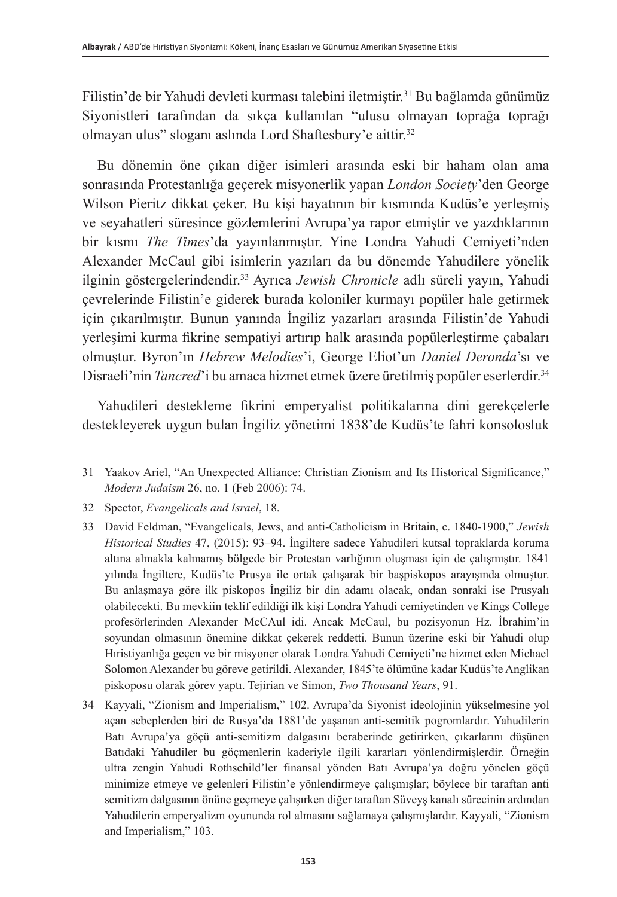Filistin'de bir Yahudi devleti kurması talebini iletmiştir.<sup>31</sup> Bu bağlamda günümüz Siyonistleri tarafından da sıkça kullanılan "ulusu olmayan toprağa toprağı olmayan ulus" sloganı aslında Lord Shaftesbury'e aittir.<sup>32</sup>

Bu dönemin öne çıkan diğer isimleri arasında eski bir haham olan ama sonrasında Protestanlığa geçerek misyonerlik yapan *London Society*'den George Wilson Pieritz dikkat çeker. Bu kişi hayatının bir kısmında Kudüs'e yerleşmiş ve seyahatleri süresince gözlemlerini Avrupa'ya rapor etmiştir ve yazdıklarının bir kısmı *The Times*'da yayınlanmıştır. Yine Londra Yahudi Cemiyeti'nden Alexander McCaul gibi isimlerin yazıları da bu dönemde Yahudilere yönelik ilginin göstergelerindendir.<sup>33</sup> Ayrıca *Jewish Chronicle* adlı süreli yayın, Yahudi çevrelerinde Filistin'e giderek burada koloniler kurmayı popüler hale getirmek için çıkarılmıştır. Bunun yanında İngiliz yazarları arasında Filistin'de Yahudi yerleşimi kurma fikrine sempatiyi artırıp halk arasında popülerleştirme çabaları olmuştur. Byron'ın *Hebrew Melodies*'i, George Eliot'un *Daniel Deronda*'sı ve Disraeli'nin *Tancred*'i bu amaca hizmet etmek üzere üretilmiş popüler eserlerdir.<sup>34</sup>

Yahudileri destekleme fikrini emperyalist politikalarına dini gerekçelerle destekleyerek uygun bulan İngiliz yönetimi 1838'de Kudüs'te fahri konsolosluk

<sup>31</sup> Yaakov Ariel, "An Unexpected Alliance: Christian Zionism and Its Historical Significance," *Modern Judaism* 26, no. 1 (Feb 2006): 74.

<sup>32</sup> Spector, *Evangelicals and Israel*, 18.

<sup>33</sup> David Feldman, "Evangelicals, Jews, and anti-Catholicism in Britain, c. 1840-1900," *Jewish Historical Studies* 47, (2015): 93–94. İngiltere sadece Yahudileri kutsal topraklarda koruma altına almakla kalmamış bölgede bir Protestan varlığının oluşması için de çalışmıştır. 1841 yılında İngiltere, Kudüs'te Prusya ile ortak çalışarak bir başpiskopos arayışında olmuştur. Bu anlaşmaya göre ilk piskopos İngiliz bir din adamı olacak, ondan sonraki ise Prusyalı olabilecekti. Bu mevkiin teklif edildiği ilk kişi Londra Yahudi cemiyetinden ve Kings College profesörlerinden Alexander McCAul idi. Ancak McCaul, bu pozisyonun Hz. İbrahim'in soyundan olmasının önemine dikkat çekerek reddetti. Bunun üzerine eski bir Yahudi olup Hıristiyanlığa geçen ve bir misyoner olarak Londra Yahudi Cemiyeti'ne hizmet eden Michael Solomon Alexander bu göreve getirildi. Alexander, 1845'te ölümüne kadar Kudüs'te Anglikan piskoposu olarak görev yaptı. Tejirian ve Simon, *Two Thousand Years*, 91.

<sup>34</sup> Kayyali, "Zionism and Imperialism," 102. Avrupa'da Siyonist ideolojinin yükselmesine yol açan sebeplerden biri de Rusya'da 1881'de yaşanan anti-semitik pogromlardır. Yahudilerin Batı Avrupa'ya göçü anti-semitizm dalgasını beraberinde getirirken, çıkarlarını düşünen Batıdaki Yahudiler bu göçmenlerin kaderiyle ilgili kararları yönlendirmişlerdir. Örneğin ultra zengin Yahudi Rothschild'ler finansal yönden Batı Avrupa'ya doğru yönelen göçü minimize etmeye ve gelenleri Filistin'e yönlendirmeye çalışmışlar; böylece bir taraftan anti semitizm dalgasının önüne geçmeye çalışırken diğer taraftan Süveyş kanalı sürecinin ardından Yahudilerin emperyalizm oyununda rol almasını sağlamaya çalışmışlardır. Kayyali, "Zionism and Imperialism," 103.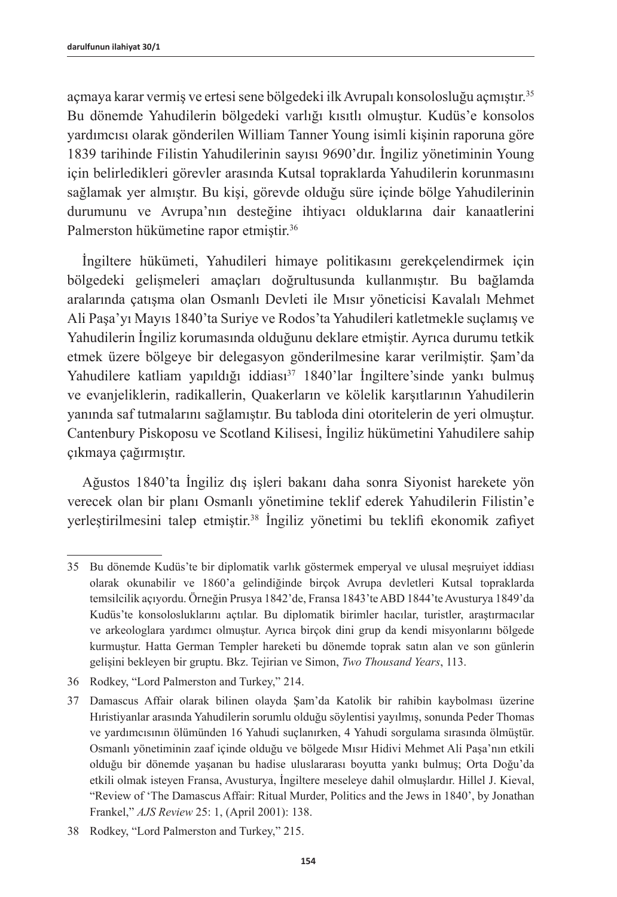açmaya karar vermiş ve ertesi sene bölgedeki ilk Avrupalı konsolosluğu açmıştır.<sup>35</sup> Bu dönemde Yahudilerin bölgedeki varlığı kısıtlı olmuştur. Kudüs'e konsolos yardımcısı olarak gönderilen William Tanner Young isimli kişinin raporuna göre 1839 tarihinde Filistin Yahudilerinin sayısı 9690'dır. İngiliz yönetiminin Young için belirledikleri görevler arasında Kutsal topraklarda Yahudilerin korunmasını sağlamak yer almıştır. Bu kişi, görevde olduğu süre içinde bölge Yahudilerinin durumunu ve Avrupa'nın desteğine ihtiyacı olduklarına dair kanaatlerini Palmerston hükümetine rapor etmiştir.<sup>36</sup>

İngiltere hükümeti, Yahudileri himaye politikasını gerekçelendirmek için bölgedeki gelişmeleri amaçları doğrultusunda kullanmıştır. Bu bağlamda aralarında çatışma olan Osmanlı Devleti ile Mısır yöneticisi Kavalalı Mehmet Ali Paşa'yı Mayıs 1840'ta Suriye ve Rodos'ta Yahudileri katletmekle suçlamış ve Yahudilerin İngiliz korumasında olduğunu deklare etmiştir. Ayrıca durumu tetkik etmek üzere bölgeye bir delegasyon gönderilmesine karar verilmiştir. Şam'da Yahudilere katliam yapıldığı iddiası<sup>37</sup> 1840'lar İngiltere'sinde yankı bulmuş ve evanjeliklerin, radikallerin, Quakerların ve kölelik karşıtlarının Yahudilerin yanında saf tutmalarını sağlamıştır. Bu tabloda dini otoritelerin de yeri olmuştur. Cantenbury Piskoposu ve Scotland Kilisesi, İngiliz hükümetini Yahudilere sahip çıkmaya çağırmıştır.

Ağustos 1840'ta İngiliz dış işleri bakanı daha sonra Siyonist harekete yön verecek olan bir planı Osmanlı yönetimine teklif ederek Yahudilerin Filistin'e yerleştirilmesini talep etmiştir.<sup>38</sup> İngiliz yönetimi bu teklifi ekonomik zafiyet

<sup>35</sup> Bu dönemde Kudüs'te bir diplomatik varlık göstermek emperyal ve ulusal meşruiyet iddiası olarak okunabilir ve 1860'a gelindiğinde birçok Avrupa devletleri Kutsal topraklarda temsilcilik açıyordu. Örneğin Prusya 1842'de, Fransa 1843'te ABD 1844'te Avusturya 1849'da Kudüs'te konsolosluklarını açtılar. Bu diplomatik birimler hacılar, turistler, araştırmacılar ve arkeologlara yardımcı olmuştur. Ayrıca birçok dini grup da kendi misyonlarını bölgede kurmuştur. Hatta German Templer hareketi bu dönemde toprak satın alan ve son günlerin gelişini bekleyen bir gruptu. Bkz. Tejirian ve Simon, *Two Thousand Years*, 113.

<sup>36</sup> Rodkey, "Lord Palmerston and Turkey," 214.

<sup>37</sup> Damascus Affair olarak bilinen olayda Şam'da Katolik bir rahibin kaybolması üzerine Hıristiyanlar arasında Yahudilerin sorumlu olduğu söylentisi yayılmış, sonunda Peder Thomas ve yardımcısının ölümünden 16 Yahudi suçlanırken, 4 Yahudi sorgulama sırasında ölmüştür. Osmanlı yönetiminin zaaf içinde olduğu ve bölgede Mısır Hidivi Mehmet Ali Paşa'nın etkili olduğu bir dönemde yaşanan bu hadise uluslararası boyutta yankı bulmuş; Orta Doğu'da etkili olmak isteyen Fransa, Avusturya, İngiltere meseleye dahil olmuşlardır. Hillel J. Kieval, "Review of 'The Damascus Affair: Ritual Murder, Politics and the Jews in 1840', by Jonathan Frankel," *AJS Review* 25: 1, (April 2001): 138.

<sup>38</sup> Rodkey, "Lord Palmerston and Turkey," 215.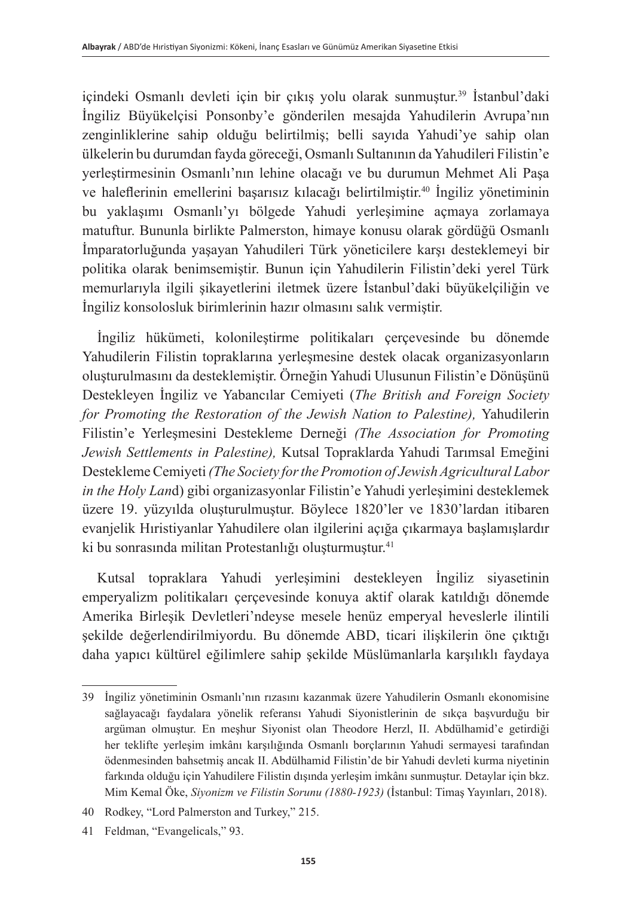içindeki Osmanlı devleti için bir çıkış yolu olarak sunmuştur.<sup>39</sup> İstanbul'daki İngiliz Büyükelçisi Ponsonby'e gönderilen mesajda Yahudilerin Avrupa'nın zenginliklerine sahip olduğu belirtilmiş; belli sayıda Yahudi'ye sahip olan ülkelerin bu durumdan fayda göreceği, Osmanlı Sultanının da Yahudileri Filistin'e yerleştirmesinin Osmanlı'nın lehine olacağı ve bu durumun Mehmet Ali Paşa ve haleflerinin emellerini başarısız kılacağı belirtilmiştir.<sup>40</sup> İngiliz yönetiminin bu yaklaşımı Osmanlı'yı bölgede Yahudi yerleşimine açmaya zorlamaya matuftur. Bununla birlikte Palmerston, himaye konusu olarak gördüğü Osmanlı İmparatorluğunda yaşayan Yahudileri Türk yöneticilere karşı desteklemeyi bir politika olarak benimsemiştir. Bunun için Yahudilerin Filistin'deki yerel Türk memurlarıyla ilgili şikayetlerini iletmek üzere İstanbul'daki büyükelçiliğin ve İngiliz konsolosluk birimlerinin hazır olmasını salık vermiştir.

İngiliz hükümeti, kolonileştirme politikaları çerçevesinde bu dönemde Yahudilerin Filistin topraklarına yerleşmesine destek olacak organizasyonların oluşturulmasını da desteklemiştir. Örneğin Yahudi Ulusunun Filistin'e Dönüşünü Destekleyen İngiliz ve Yabancılar Cemiyeti (*The British and Foreign Society for Promoting the Restoration of the Jewish Nation to Palestine),* Yahudilerin Filistin'e Yerleşmesini Destekleme Derneği *(The Association for Promoting Jewish Settlements in Palestine),* Kutsal Topraklarda Yahudi Tarımsal Emeğini Destekleme Cemiyeti *(The Society for the Promotion of Jewish Agricultural Labor in the Holy Lan*d) gibi organizasyonlar Filistin'e Yahudi yerleşimini desteklemek üzere 19. yüzyılda oluşturulmuştur. Böylece 1820'ler ve 1830'lardan itibaren evanjelik Hıristiyanlar Yahudilere olan ilgilerini açığa çıkarmaya başlamışlardır ki bu sonrasında militan Protestanlığı oluşturmuştur.<sup>41</sup>

Kutsal topraklara Yahudi yerleşimini destekleyen İngiliz siyasetinin emperyalizm politikaları çerçevesinde konuya aktif olarak katıldığı dönemde Amerika Birleşik Devletleri'ndeyse mesele henüz emperyal heveslerle ilintili şekilde değerlendirilmiyordu. Bu dönemde ABD, ticari ilişkilerin öne çıktığı daha yapıcı kültürel eğilimlere sahip şekilde Müslümanlarla karşılıklı faydaya

<sup>39</sup> İngiliz yönetiminin Osmanlı'nın rızasını kazanmak üzere Yahudilerin Osmanlı ekonomisine sağlayacağı faydalara yönelik referansı Yahudi Siyonistlerinin de sıkça başvurduğu bir argüman olmuştur. En meşhur Siyonist olan Theodore Herzl, II. Abdülhamid'e getirdiği her teklifte yerleşim imkânı karşılığında Osmanlı borçlarının Yahudi sermayesi tarafından ödenmesinden bahsetmiş ancak II. Abdülhamid Filistin'de bir Yahudi devleti kurma niyetinin farkında olduğu için Yahudilere Filistin dışında yerleşim imkânı sunmuştur. Detaylar için bkz. Mim Kemal Öke, *Siyonizm ve Filistin Sorunu (1880-1923)* (İstanbul: Timaş Yayınları, 2018).

<sup>40</sup> Rodkey, "Lord Palmerston and Turkey," 215.

<sup>41</sup> Feldman, "Evangelicals," 93.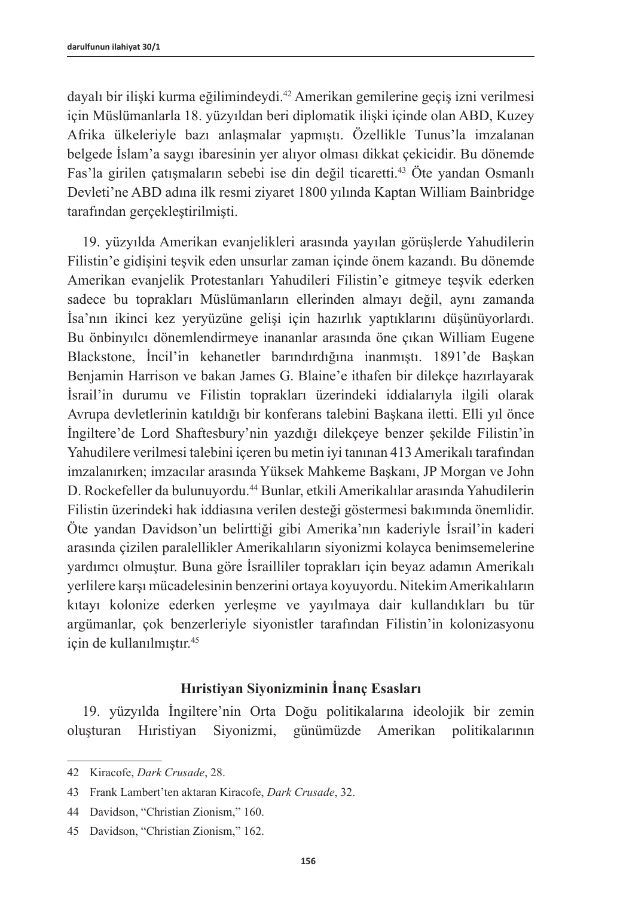dayalı bir ilişki kurma eğilimindeydi.<sup>42</sup> Amerikan gemilerine geçiş izni verilmesi için Müslümanlarla 18. yüzyıldan beri diplomatik ilişki içinde olan ABD, Kuzey Afrika ülkeleriyle bazı anlaşmalar yapmıştı. Özellikle Tunus'la imzalanan belgede İslam'a saygı ibaresinin yer alıyor olması dikkat çekicidir. Bu dönemde Fas'la girilen çatışmaların sebebi ise din değil ticaretti.<sup>43</sup> Öte yandan Osmanlı Devleti'ne ABD adına ilk resmi ziyaret 1800 yılında Kaptan William Bainbridge tarafından gerçekleştirilmişti.

19. yüzyılda Amerikan evanjelikleri arasında yayılan görüşlerde Yahudilerin Filistin'e gidişini teşvik eden unsurlar zaman içinde önem kazandı. Bu dönemde Amerikan evanjelik Protestanları Yahudileri Filistin'e gitmeye teşvik ederken sadece bu toprakları Müslümanların ellerinden almayı değil, aynı zamanda İsa'nın ikinci kez yeryüzüne gelişi için hazırlık yaptıklarını düşünüyorlardı. Bu önbinyılcı dönemlendirmeye inananlar arasında öne çıkan William Eugene Blackstone, İncil'in kehanetler barındırdığına inanmıştı. 1891'de Başkan Benjamin Harrison ve bakan James G. Blaine'e ithafen bir dilekçe hazırlayarak İsrail'in durumu ve Filistin toprakları üzerindeki iddialarıyla ilgili olarak Avrupa devletlerinin katıldığı bir konferans talebini Başkana iletti. Elli yıl önce İngiltere'de Lord Shaftesbury'nin yazdığı dilekçeye benzer şekilde Filistin'in Yahudilere verilmesi talebini içeren bu metin iyi tanınan 413 Amerikalı tarafından imzalanırken; imzacılar arasında Yüksek Mahkeme Başkanı, JP Morgan ve John D. Rockefeller da bulunuyordu.<sup>44</sup> Bunlar, etkili Amerikalılar arasında Yahudilerin Filistin üzerindeki hak iddiasına verilen desteği göstermesi bakımında önemlidir. Öte yandan Davidson'un belirttiği gibi Amerika'nın kaderiyle İsrail'in kaderi arasında çizilen paralellikler Amerikalıların siyonizmi kolayca benimsemelerine yardımcı olmuştur. Buna göre İsrailliler toprakları için beyaz adamın Amerikalı yerlilere karşı mücadelesinin benzerini ortaya koyuyordu. Nitekim Amerikalıların kıtayı kolonize ederken yerleşme ve yayılmaya dair kullandıkları bu tür argümanlar, çok benzerleriyle siyonistler tarafından Filistin'in kolonizasyonu için de kullanılmıştır.<sup>45</sup>

# **Hıristiyan Siyonizminin İnanç Esasları**

19. yüzyılda İngiltere'nin Orta Doğu politikalarına ideolojik bir zemin oluşturan Hıristiyan Siyonizmi, günümüzde Amerikan politikalarının

<sup>42</sup> Kiracofe, *Dark Crusade*, 28.

<sup>43</sup> Frank Lambert'ten aktaran Kiracofe, *Dark Crusade*, 32.

<sup>44</sup> Davidson, "Christian Zionism," 160.

<sup>45</sup> Davidson, "Christian Zionism," 162.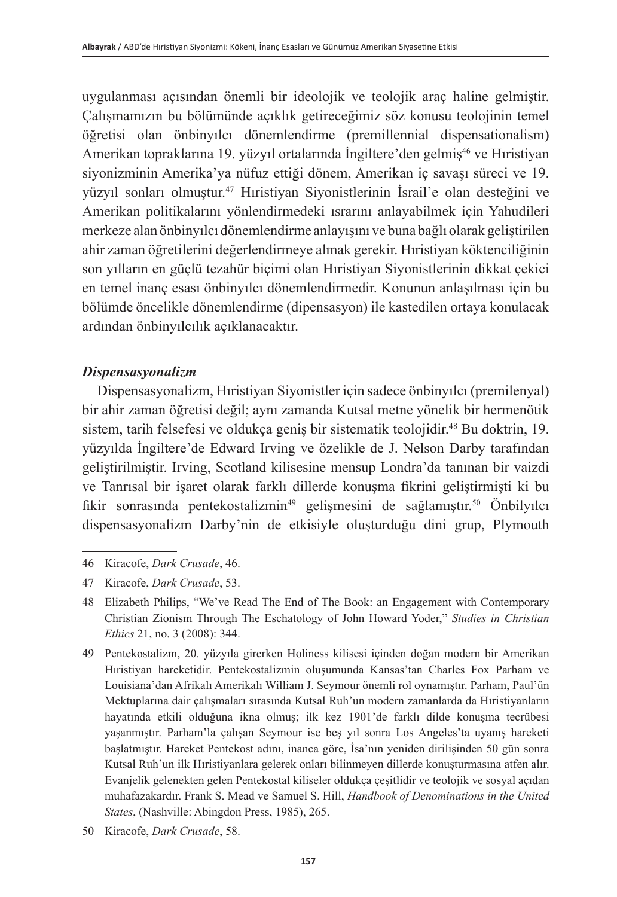uygulanması açısından önemli bir ideolojik ve teolojik araç haline gelmiştir. Çalışmamızın bu bölümünde açıklık getireceğimiz söz konusu teolojinin temel öğretisi olan önbinyılcı dönemlendirme (premillennial dispensationalism) Amerikan topraklarına 19. yüzyıl ortalarında İngiltere'den gelmiş<sup>46</sup> ve Hıristiyan siyonizminin Amerika'ya nüfuz ettiği dönem, Amerikan iç savaşı süreci ve 19. yüzyıl sonları olmuştur.<sup>47</sup> Hıristiyan Siyonistlerinin İsrail'e olan desteğini ve Amerikan politikalarını yönlendirmedeki ısrarını anlayabilmek için Yahudileri merkeze alan önbinyılcı dönemlendirme anlayışını ve buna bağlı olarak geliştirilen ahir zaman öğretilerini değerlendirmeye almak gerekir. Hıristiyan köktenciliğinin son yılların en güçlü tezahür biçimi olan Hıristiyan Siyonistlerinin dikkat çekici en temel inanç esası önbinyılcı dönemlendirmedir. Konunun anlaşılması için bu bölümde öncelikle dönemlendirme (dipensasyon) ile kastedilen ortaya konulacak ardından önbinyılcılık açıklanacaktır.

# *Dispensasyonalizm*

Dispensasyonalizm, Hıristiyan Siyonistler için sadece önbinyılcı (premilenyal) bir ahir zaman öğretisi değil; aynı zamanda Kutsal metne yönelik bir hermenötik sistem, tarih felsefesi ve oldukça geniş bir sistematik teolojidir.<sup>48</sup> Bu doktrin, 19. yüzyılda İngiltere'de Edward Irving ve özelikle de J. Nelson Darby tarafından geliştirilmiştir. Irving, Scotland kilisesine mensup Londra'da tanınan bir vaizdi ve Tanrısal bir işaret olarak farklı dillerde konuşma fikrini geliştirmişti ki bu fikir sonrasında pentekostalizmin<sup>49</sup> gelişmesini de sağlamıştır.<sup>50</sup> Önbilyılcı dispensasyonalizm Darby'nin de etkisiyle oluşturduğu dini grup, Plymouth

<sup>46</sup> Kiracofe, *Dark Crusade*, 46.

<sup>47</sup> Kiracofe, *Dark Crusade*, 53.

<sup>48</sup> Elizabeth Philips, "We've Read The End of The Book: an Engagement with Contemporary Christian Zionism Through The Eschatology of John Howard Yoder," *Studies in Christian Ethics* 21, no. 3 (2008): 344.

<sup>49</sup> Pentekostalizm, 20. yüzyıla girerken Holiness kilisesi içinden doğan modern bir Amerikan Hıristiyan hareketidir. Pentekostalizmin oluşumunda Kansas'tan Charles Fox Parham ve Louisiana'dan Afrikalı Amerikalı William J. Seymour önemli rol oynamıştır. Parham, Paul'ün Mektuplarına dair çalışmaları sırasında Kutsal Ruh'un modern zamanlarda da Hıristiyanların hayatında etkili olduğuna ikna olmuş; ilk kez 1901'de farklı dilde konuşma tecrübesi yaşanmıştır. Parham'la çalışan Seymour ise beş yıl sonra Los Angeles'ta uyanış hareketi başlatmıştır. Hareket Pentekost adını, inanca göre, İsa'nın yeniden dirilişinden 50 gün sonra Kutsal Ruh'un ilk Hıristiyanlara gelerek onları bilinmeyen dillerde konuşturmasına atfen alır. Evanjelik gelenekten gelen Pentekostal kiliseler oldukça çeşitlidir ve teolojik ve sosyal açıdan muhafazakardır. Frank S. Mead ve Samuel S. Hill, *Handbook of Denominations in the United States*, (Nashville: Abingdon Press, 1985), 265.

<sup>50</sup> Kiracofe, *Dark Crusade*, 58.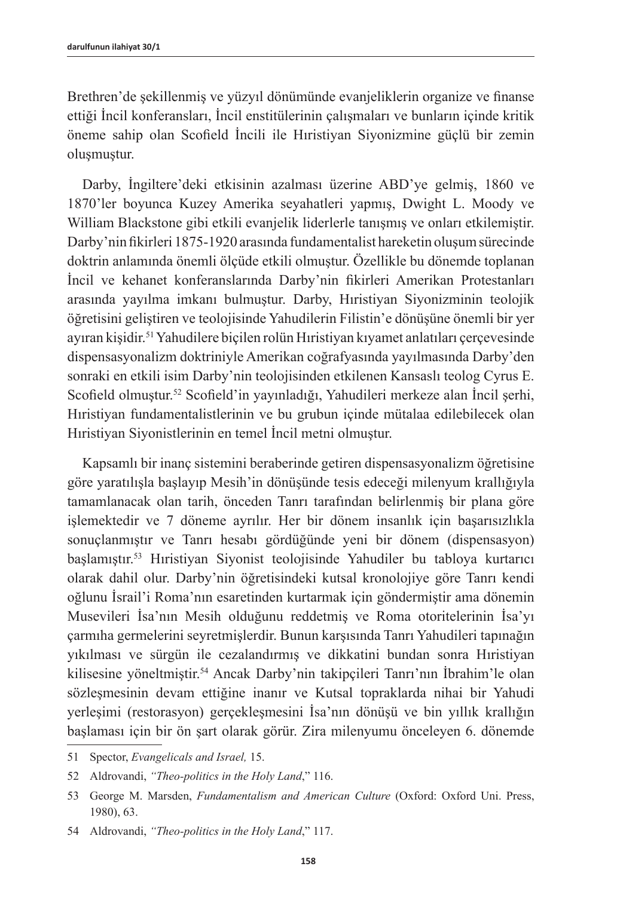Brethren'de şekillenmiş ve yüzyıl dönümünde evanjeliklerin organize ve finanse ettiği İncil konferansları, İncil enstitülerinin çalışmaları ve bunların içinde kritik öneme sahip olan Scofield İncili ile Hıristiyan Siyonizmine güçlü bir zemin oluşmuştur.

Darby, İngiltere'deki etkisinin azalması üzerine ABD'ye gelmiş, 1860 ve 1870'ler boyunca Kuzey Amerika seyahatleri yapmış, Dwight L. Moody ve William Blackstone gibi etkili evanjelik liderlerle tanışmış ve onları etkilemiştir. Darby'nin fikirleri 1875-1920 arasında fundamentalist hareketin oluşum sürecinde doktrin anlamında önemli ölçüde etkili olmuştur. Özellikle bu dönemde toplanan İncil ve kehanet konferanslarında Darby'nin fikirleri Amerikan Protestanları arasında yayılma imkanı bulmuştur. Darby, Hıristiyan Siyonizminin teolojik öğretisini geliştiren ve teolojisinde Yahudilerin Filistin'e dönüşüne önemli bir yer ayıran kişidir.<sup>51</sup> Yahudilere biçilen rolün Hıristiyan kıyamet anlatıları çerçevesinde dispensasyonalizm doktriniyle Amerikan coğrafyasında yayılmasında Darby'den sonraki en etkili isim Darby'nin teolojisinden etkilenen Kansaslı teolog Cyrus E. Scofield olmuştur.<sup>52</sup> Scofield'in yayınladığı, Yahudileri merkeze alan İncil şerhi, Hıristiyan fundamentalistlerinin ve bu grubun içinde mütalaa edilebilecek olan Hıristiyan Siyonistlerinin en temel İncil metni olmuştur.

Kapsamlı bir inanç sistemini beraberinde getiren dispensasyonalizm öğretisine göre yaratılışla başlayıp Mesih'in dönüşünde tesis edeceği milenyum krallığıyla tamamlanacak olan tarih, önceden Tanrı tarafından belirlenmiş bir plana göre işlemektedir ve 7 döneme ayrılır. Her bir dönem insanlık için başarısızlıkla sonuçlanmıştır ve Tanrı hesabı gördüğünde yeni bir dönem (dispensasyon) başlamıştır.<sup>53</sup> Hıristiyan Siyonist teolojisinde Yahudiler bu tabloya kurtarıcı olarak dahil olur. Darby'nin öğretisindeki kutsal kronolojiye göre Tanrı kendi oğlunu İsrail'i Roma'nın esaretinden kurtarmak için göndermiştir ama dönemin Musevileri İsa'nın Mesih olduğunu reddetmiş ve Roma otoritelerinin İsa'yı çarmıha germelerini seyretmişlerdir. Bunun karşısında Tanrı Yahudileri tapınağın yıkılması ve sürgün ile cezalandırmış ve dikkatini bundan sonra Hıristiyan kilisesine yöneltmiştir.<sup>54</sup> Ancak Darby'nin takipçileri Tanrı'nın İbrahim'le olan sözleşmesinin devam ettiğine inanır ve Kutsal topraklarda nihai bir Yahudi yerleşimi (restorasyon) gerçekleşmesini İsa'nın dönüşü ve bin yıllık krallığın başlaması için bir ön şart olarak görür. Zira milenyumu önceleyen 6. dönemde

<sup>51</sup> Spector, *Evangelicals and Israel,* 15.

<sup>52</sup> Aldrovandi, *"Theo-politics in the Holy Land*," 116.

<sup>53</sup> George M. Marsden, *Fundamentalism and American Culture* (Oxford: Oxford Uni. Press, 1980), 63.

<sup>54</sup> Aldrovandi, *"Theo-politics in the Holy Land*," 117.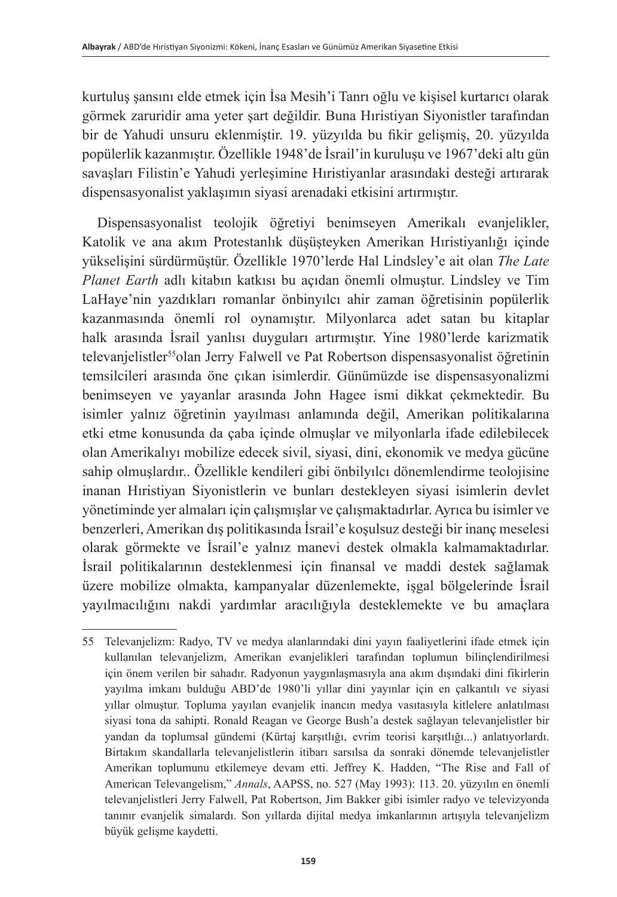kurtuluş şansını elde etmek için İsa Mesih'i Tanrı oğlu ve kişisel kurtarıcı olarak görmek zaruridir ama yeter şart değildir. Buna Hıristiyan Siyonistler tarafından bir de Yahudi unsuru eklenmiştir. 19. yüzyılda bu fikir gelişmiş, 20. yüzyılda popülerlik kazanmıştır. Özellikle 1948'de İsrail'in kuruluşu ve 1967'deki altı gün savaşları Filistin'e Yahudi yerleşimine Hıristiyanlar arasındaki desteği artırarak dispensasyonalist yaklaşımın siyasi arenadaki etkisini artırmıştır.

Dispensasyonalist teolojik öğretiyi benimseyen Amerikalı evanjelikler, Katolik ve ana akım Protestanlık düşüşteyken Amerikan Hıristiyanlığı içinde yükselişini sürdürmüştür. Özellikle 1970'lerde Hal Lindsley'e ait olan *The Late Planet Earth* adlı kitabın katkısı bu açıdan önemli olmuştur. Lindsley ve Tim LaHaye'nin yazdıkları romanlar önbinyılcı ahir zaman öğretisinin popülerlik kazanmasında önemli rol oynamıştır. Milyonlarca adet satan bu kitaplar halk arasında İsrail yanlısı duyguları artırmıştır. Yine 1980'lerde karizmatik televanjelistler<sup>55</sup>olan Jerry Falwell ve Pat Robertson dispensasyonalist öğretinin temsilcileri arasında öne çıkan isimlerdir. Günümüzde ise dispensasyonalizmi benimseyen ve yayanlar arasında John Hagee ismi dikkat çekmektedir. Bu isimler yalnız öğretinin yayılması anlamında değil, Amerikan politikalarına etki etme konusunda da çaba içinde olmuşlar ve milyonlarla ifade edilebilecek olan Amerikalıyı mobilize edecek sivil, siyasi, dini, ekonomik ve medya gücüne sahip olmuşlardır.. Özellikle kendileri gibi önbilyılcı dönemlendirme teolojisine inanan Hıristiyan Siyonistlerin ve bunları destekleyen siyasi isimlerin devlet yönetiminde yer almaları için çalışmışlar ve çalışmaktadırlar. Ayrıca bu isimler ve benzerleri, Amerikan dış politikasında İsrail'e koşulsuz desteği bir inanç meselesi olarak görmekte ve İsrail'e yalnız manevi destek olmakla kalmamaktadırlar. İsrail politikalarının desteklenmesi için finansal ve maddi destek sağlamak üzere mobilize olmakta, kampanyalar düzenlemekte, işgal bölgelerinde İsrail yayılmacılığını nakdi yardımlar aracılığıyla desteklemekte ve bu amaçlara

<sup>55</sup> Televanjelizm: Radyo, TV ve medya alanlarındaki dini yayın faaliyetlerini ifade etmek için kullanılan televanjelizm, Amerikan evanjelikleri tarafından toplumun bilinçlendirilmesi için önem verilen bir sahadır. Radyonun yaygınlaşmasıyla ana akım dışındaki dini fikirlerin yayılma imkanı bulduğu ABD'de 1980'li yıllar dini yayınlar için en çalkantılı ve siyasi yıllar olmuştur. Topluma yayılan evanjelik inancın medya vasıtasıyla kitlelere anlatılması siyasi tona da sahipti. Ronald Reagan ve George Bush'a destek sağlayan televanjelistler bir yandan da toplumsal gündemi (Kürtaj karşıtlığı, evrim teorisi karşıtlığı...) anlatıyorlardı. Birtakım skandallarla televanjelistlerin itibarı sarsılsa da sonraki dönemde televanjelistler Amerikan toplumunu etkilemeye devam etti. Jeffrey K. Hadden, "The Rise and Fall of American Televangelism," *Annals*, AAPSS, no. 527 (May 1993): 113. 20. yüzyılın en önemli televanjelistleri Jerry Falwell, Pat Robertson, Jim Bakker gibi isimler radyo ve televizyonda tanınır evanjelik simalardı. Son yıllarda dijital medya imkanlarının artışıyla televanjelizm büyük gelişme kaydetti.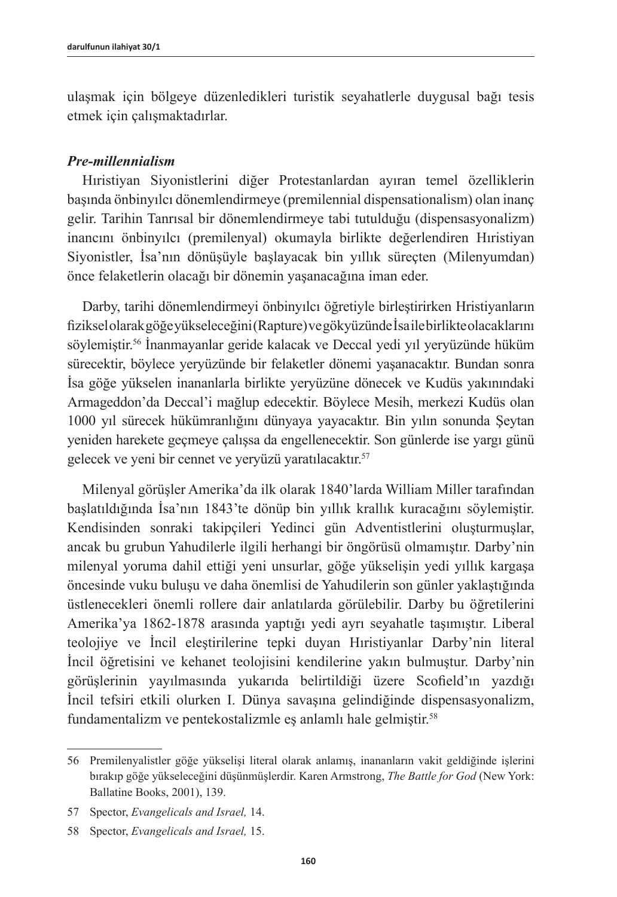ulaşmak için bölgeye düzenledikleri turistik seyahatlerle duygusal bağı tesis etmek için çalışmaktadırlar.

### *Pre-millennialism*

Hıristiyan Siyonistlerini diğer Protestanlardan ayıran temel özelliklerin başında önbinyılcı dönemlendirmeye (premilennial dispensationalism) olan inanç gelir. Tarihin Tanrısal bir dönemlendirmeye tabi tutulduğu (dispensasyonalizm) inancını önbinyılcı (premilenyal) okumayla birlikte değerlendiren Hıristiyan Siyonistler, İsa'nın dönüşüyle başlayacak bin yıllık süreçten (Milenyumdan) önce felaketlerin olacağı bir dönemin yaşanacağına iman eder.

Darby, tarihi dönemlendirmeyi önbinyılcı öğretiyle birleştirirken Hristiyanların fiziksel olarak göğe yükseleceğini (Rapture) ve gökyüzünde İsa ile birlikte olacaklarını söylemiştir.<sup>56</sup> İnanmayanlar geride kalacak ve Deccal yedi yıl yeryüzünde hüküm sürecektir, böylece yeryüzünde bir felaketler dönemi yaşanacaktır. Bundan sonra İsa göğe yükselen inananlarla birlikte yeryüzüne dönecek ve Kudüs yakınındaki Armageddon'da Deccal'i mağlup edecektir. Böylece Mesih, merkezi Kudüs olan 1000 yıl sürecek hükümranlığını dünyaya yayacaktır. Bin yılın sonunda Şeytan yeniden harekete geçmeye çalışsa da engellenecektir. Son günlerde ise yargı günü gelecek ve yeni bir cennet ve yeryüzü yaratılacaktır.<sup>57</sup>

Milenyal görüşler Amerika'da ilk olarak 1840'larda William Miller tarafından başlatıldığında İsa'nın 1843'te dönüp bin yıllık krallık kuracağını söylemiştir. Kendisinden sonraki takipçileri Yedinci gün Adventistlerini oluşturmuşlar, ancak bu grubun Yahudilerle ilgili herhangi bir öngörüsü olmamıştır. Darby'nin milenyal yoruma dahil ettiği yeni unsurlar, göğe yükselişin yedi yıllık kargaşa öncesinde vuku buluşu ve daha önemlisi de Yahudilerin son günler yaklaştığında üstlenecekleri önemli rollere dair anlatılarda görülebilir. Darby bu öğretilerini Amerika'ya 1862-1878 arasında yaptığı yedi ayrı seyahatle taşımıştır. Liberal teolojiye ve İncil eleştirilerine tepki duyan Hıristiyanlar Darby'nin literal İncil öğretisini ve kehanet teolojisini kendilerine yakın bulmuştur. Darby'nin görüşlerinin yayılmasında yukarıda belirtildiği üzere Scofield'ın yazdığı İncil tefsiri etkili olurken I. Dünya savaşına gelindiğinde dispensasyonalizm, fundamentalizm ve pentekostalizmle eş anlamlı hale gelmiştir.<sup>58</sup>

<sup>56</sup> Premilenyalistler göğe yükselişi literal olarak anlamış, inananların vakit geldiğinde işlerini bırakıp göğe yükseleceğini düşünmüşlerdir. Karen Armstrong, *The Battle for God* (New York: Ballatine Books, 2001), 139.

<sup>57</sup> Spector, *Evangelicals and Israel,* 14.

<sup>58</sup> Spector, *Evangelicals and Israel,* 15.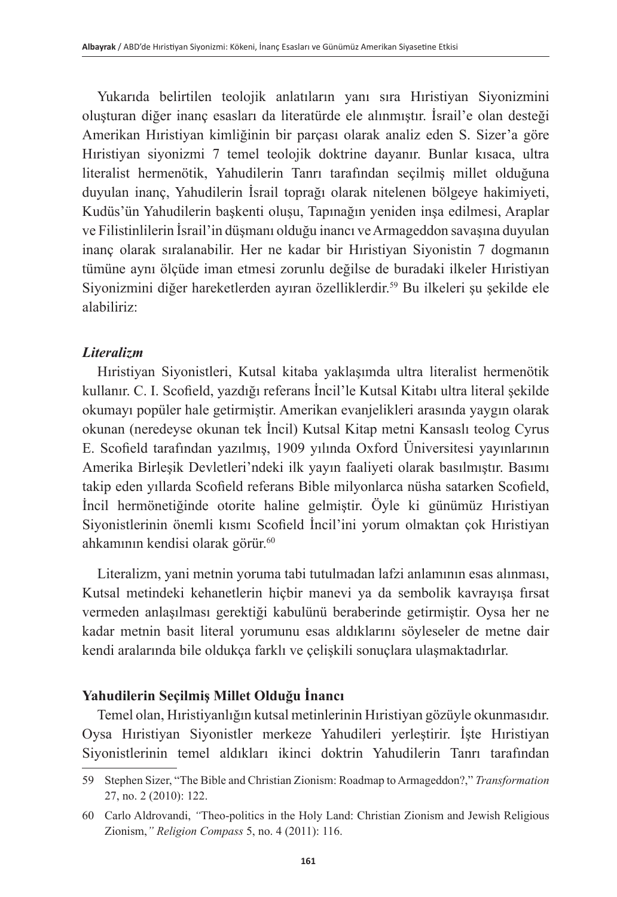Yukarıda belirtilen teolojik anlatıların yanı sıra Hıristiyan Siyonizmini oluşturan diğer inanç esasları da literatürde ele alınmıştır. İsrail'e olan desteği Amerikan Hıristiyan kimliğinin bir parçası olarak analiz eden S. Sizer'a göre Hıristiyan siyonizmi 7 temel teolojik doktrine dayanır. Bunlar kısaca, ultra literalist hermenötik, Yahudilerin Tanrı tarafından seçilmiş millet olduğuna duyulan inanç, Yahudilerin İsrail toprağı olarak nitelenen bölgeye hakimiyeti, Kudüs'ün Yahudilerin başkenti oluşu, Tapınağın yeniden inşa edilmesi, Araplar ve Filistinlilerin İsrail'in düşmanı olduğu inancı ve Armageddon savaşına duyulan inanç olarak sıralanabilir. Her ne kadar bir Hıristiyan Siyonistin 7 dogmanın tümüne aynı ölçüde iman etmesi zorunlu değilse de buradaki ilkeler Hıristiyan Siyonizmini diğer hareketlerden ayıran özelliklerdir.<sup>59</sup> Bu ilkeleri şu şekilde ele alabiliriz:

# *Literalizm*

Hıristiyan Siyonistleri, Kutsal kitaba yaklaşımda ultra literalist hermenötik kullanır. C. I. Scofield, yazdığı referans İncil'le Kutsal Kitabı ultra literal şekilde okumayı popüler hale getirmiştir. Amerikan evanjelikleri arasında yaygın olarak okunan (neredeyse okunan tek İncil) Kutsal Kitap metni Kansaslı teolog Cyrus E. Scofield tarafından yazılmış, 1909 yılında Oxford Üniversitesi yayınlarının Amerika Birleşik Devletleri'ndeki ilk yayın faaliyeti olarak basılmıştır. Basımı takip eden yıllarda Scofield referans Bible milyonlarca nüsha satarken Scofield, İncil hermönetiğinde otorite haline gelmiştir. Öyle ki günümüz Hıristiyan Siyonistlerinin önemli kısmı Scofield İncil'ini yorum olmaktan çok Hıristiyan ahkamının kendisi olarak görür.<sup>60</sup>

Literalizm, yani metnin yoruma tabi tutulmadan lafzi anlamının esas alınması, Kutsal metindeki kehanetlerin hiçbir manevi ya da sembolik kavrayışa fırsat vermeden anlaşılması gerektiği kabulünü beraberinde getirmiştir. Oysa her ne kadar metnin basit literal yorumunu esas aldıklarını söyleseler de metne dair kendi aralarında bile oldukça farklı ve çelişkili sonuçlara ulaşmaktadırlar.

# **Yahudilerin Seçilmiş Millet Olduğu İnancı**

Temel olan, Hıristiyanlığın kutsal metinlerinin Hıristiyan gözüyle okunmasıdır. Oysa Hıristiyan Siyonistler merkeze Yahudileri yerleştirir. İşte Hıristiyan Siyonistlerinin temel aldıkları ikinci doktrin Yahudilerin Tanrı tarafından

<sup>59</sup> Stephen Sizer, "The Bible and Christian Zionism: Roadmap to Armageddon?," *Transformation* 27, no. 2 (2010): 122.

<sup>60</sup> Carlo Aldrovandi, *"*Theo-politics in the Holy Land: Christian Zionism and Jewish Religious Zionism,*" Religion Compass* 5, no. 4 (2011): 116.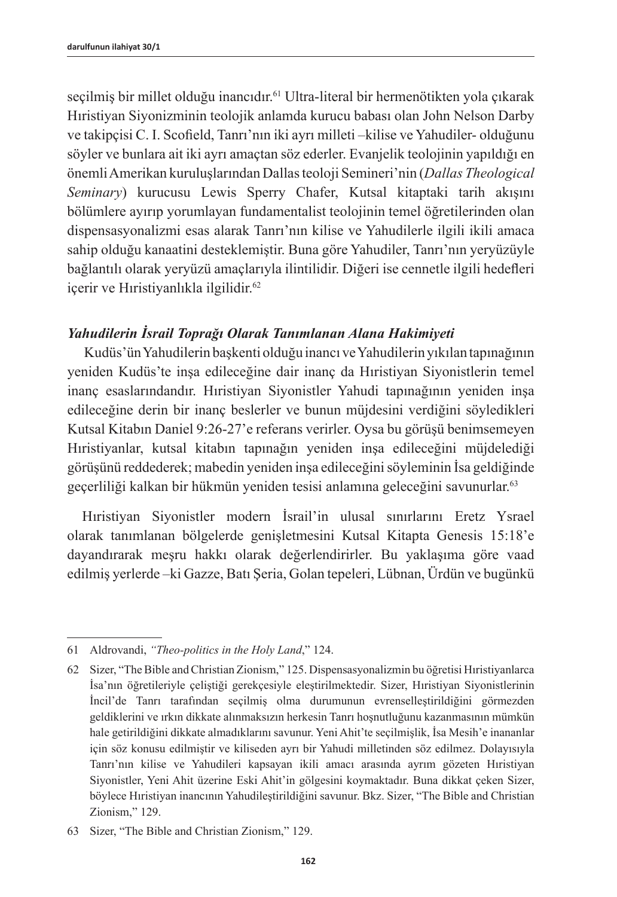seçilmiş bir millet olduğu inancıdır.<sup>61</sup> Ultra-literal bir hermenötikten yola çıkarak Hıristiyan Siyonizminin teolojik anlamda kurucu babası olan John Nelson Darby ve takipçisi C. I. Scofield, Tanrı'nın iki ayrı milleti –kilise ve Yahudiler- olduğunu söyler ve bunlara ait iki ayrı amaçtan söz ederler. Evanjelik teolojinin yapıldığı en önemli Amerikan kuruluşlarından Dallas teoloji Semineri'nin (*Dallas Theological Seminary*) kurucusu Lewis Sperry Chafer, Kutsal kitaptaki tarih akışını bölümlere ayırıp yorumlayan fundamentalist teolojinin temel öğretilerinden olan dispensasyonalizmi esas alarak Tanrı'nın kilise ve Yahudilerle ilgili ikili amaca sahip olduğu kanaatini desteklemiştir. Buna göre Yahudiler, Tanrı'nın yeryüzüyle bağlantılı olarak yeryüzü amaçlarıyla ilintilidir. Diğeri ise cennetle ilgili hedefleri içerir ve Hıristiyanlıkla ilgilidir.<sup>62</sup>

# *Yahudilerin İsrail Toprağı Olarak Tanımlanan Alana Hakimiyeti*

Kudüs'ün Yahudilerin başkenti olduğu inancı ve Yahudilerin yıkılan tapınağının yeniden Kudüs'te inşa edileceğine dair inanç da Hıristiyan Siyonistlerin temel inanç esaslarındandır. Hıristiyan Siyonistler Yahudi tapınağının yeniden inşa edileceğine derin bir inanç beslerler ve bunun müjdesini verdiğini söyledikleri Kutsal Kitabın Daniel 9:26-27'e referans verirler. Oysa bu görüşü benimsemeyen Hıristiyanlar, kutsal kitabın tapınağın yeniden inşa edileceğini müjdelediği görüşünü reddederek; mabedin yeniden inşa edileceğini söyleminin İsa geldiğinde geçerliliği kalkan bir hükmün yeniden tesisi anlamına geleceğini savunurlar. 63

Hıristiyan Siyonistler modern İsrail'in ulusal sınırlarını Eretz Ysrael olarak tanımlanan bölgelerde genişletmesini Kutsal Kitapta Genesis 15:18'e dayandırarak meşru hakkı olarak değerlendirirler. Bu yaklaşıma göre vaad edilmiş yerlerde –ki Gazze, Batı Şeria, Golan tepeleri, Lübnan, Ürdün ve bugünkü

<sup>61</sup> Aldrovandi, *"Theo-politics in the Holy Land*," 124.

<sup>62</sup> Sizer, "The Bible and Christian Zionism," 125. Dispensasyonalizmin bu öğretisi Hıristiyanlarca İsa'nın öğretileriyle çeliştiği gerekçesiyle eleştirilmektedir. Sizer, Hıristiyan Siyonistlerinin İncil'de Tanrı tarafından seçilmiş olma durumunun evrenselleştirildiğini görmezden geldiklerini ve ırkın dikkate alınmaksızın herkesin Tanrı hoşnutluğunu kazanmasının mümkün hale getirildiğini dikkate almadıklarını savunur. Yeni Ahit'te seçilmişlik, İsa Mesih'e inananlar için söz konusu edilmiştir ve kiliseden ayrı bir Yahudi milletinden söz edilmez. Dolayısıyla Tanrı'nın kilise ve Yahudileri kapsayan ikili amacı arasında ayrım gözeten Hıristiyan Siyonistler, Yeni Ahit üzerine Eski Ahit'in gölgesini koymaktadır. Buna dikkat çeken Sizer, böylece Hıristiyan inancının Yahudileştirildiğini savunur. Bkz. Sizer, "The Bible and Christian Zionism," 129.

<sup>63</sup> Sizer, "The Bible and Christian Zionism," 129.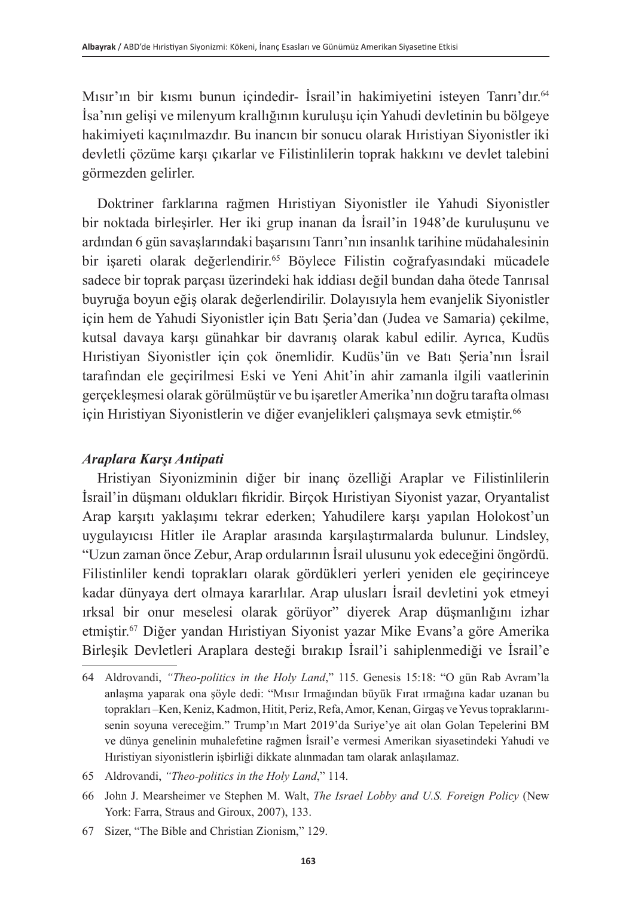Mısır'ın bir kısmı bunun içindedir- İsrail'in hakimiyetini isteyen Tanrı'dır.<sup>64</sup> İsa'nın gelişi ve milenyum krallığının kuruluşu için Yahudi devletinin bu bölgeye hakimiyeti kaçınılmazdır. Bu inancın bir sonucu olarak Hıristiyan Siyonistler iki devletli çözüme karşı çıkarlar ve Filistinlilerin toprak hakkını ve devlet talebini görmezden gelirler.

Doktriner farklarına rağmen Hıristiyan Siyonistler ile Yahudi Siyonistler bir noktada birleşirler. Her iki grup inanan da İsrail'in 1948'de kuruluşunu ve ardından 6 gün savaşlarındaki başarısını Tanrı'nın insanlık tarihine müdahalesinin bir isareti olarak değerlendirir.<sup>65</sup> Böylece Filistin coğrafyasındaki mücadele sadece bir toprak parçası üzerindeki hak iddiası değil bundan daha ötede Tanrısal buyruğa boyun eğiş olarak değerlendirilir. Dolayısıyla hem evanjelik Siyonistler için hem de Yahudi Siyonistler için Batı Şeria'dan (Judea ve Samaria) çekilme, kutsal davaya karşı günahkar bir davranış olarak kabul edilir. Ayrıca, Kudüs Hıristiyan Siyonistler için çok önemlidir. Kudüs'ün ve Batı Şeria'nın İsrail tarafından ele geçirilmesi Eski ve Yeni Ahit'in ahir zamanla ilgili vaatlerinin gerçekleşmesi olarak görülmüştür ve bu işaretler Amerika'nın doğru tarafta olması için Hıristiyan Siyonistlerin ve diğer evanjelikleri çalışmaya sevk etmiştir. 66

# *Araplara Karşı Antipati*

Hristiyan Siyonizminin diğer bir inanç özelliği Araplar ve Filistinlilerin İsrail'in düşmanı oldukları fikridir. Birçok Hıristiyan Siyonist yazar, Oryantalist Arap karşıtı yaklaşımı tekrar ederken; Yahudilere karşı yapılan Holokost'un uygulayıcısı Hitler ile Araplar arasında karşılaştırmalarda bulunur. Lindsley, "Uzun zaman önce Zebur, Arap ordularının İsrail ulusunu yok edeceğini öngördü. Filistinliler kendi toprakları olarak gördükleri yerleri yeniden ele geçirinceye kadar dünyaya dert olmaya kararlılar. Arap ulusları İsrail devletini yok etmeyi ırksal bir onur meselesi olarak görüyor" diyerek Arap düşmanlığını izhar etmiştir.<sup>67</sup> Diğer yandan Hıristiyan Siyonist yazar Mike Evans'a göre Amerika Birleşik Devletleri Araplara desteği bırakıp İsrail'i sahiplenmediği ve İsrail'e

<sup>64</sup> Aldrovandi, *"Theo-politics in the Holy Land*," 115. Genesis 15:18: "O gün Rab Avram'la anlaşma yaparak ona şöyle dedi: "Mısır Irmağından büyük Fırat ırmağına kadar uzanan bu toprakları –Ken, Keniz, Kadmon, Hitit, Periz, Refa, Amor, Kenan, Girgaş ve Yevus topraklarınısenin soyuna vereceğim." Trump'ın Mart 2019'da Suriye'ye ait olan Golan Tepelerini BM ve dünya genelinin muhalefetine rağmen İsrail'e vermesi Amerikan siyasetindeki Yahudi ve Hıristiyan siyonistlerin işbirliği dikkate alınmadan tam olarak anlaşılamaz.

<sup>65</sup> Aldrovandi, *"Theo-politics in the Holy Land*," 114.

<sup>66</sup> John J. Mearsheimer ve Stephen M. Walt, *The Israel Lobby and U.S. Foreign Policy* (New York: Farra, Straus and Giroux, 2007), 133.

<sup>67</sup> Sizer, "The Bible and Christian Zionism," 129.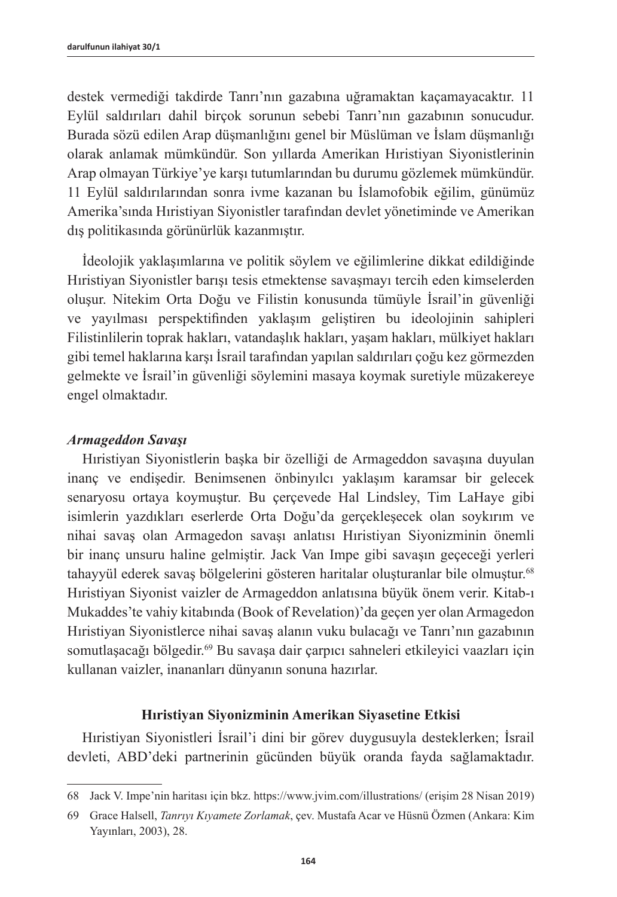destek vermediği takdirde Tanrı'nın gazabına uğramaktan kaçamayacaktır. 11 Eylül saldırıları dahil birçok sorunun sebebi Tanrı'nın gazabının sonucudur. Burada sözü edilen Arap düşmanlığını genel bir Müslüman ve İslam düşmanlığı olarak anlamak mümkündür. Son yıllarda Amerikan Hıristiyan Siyonistlerinin Arap olmayan Türkiye'ye karşı tutumlarından bu durumu gözlemek mümkündür. 11 Eylül saldırılarından sonra ivme kazanan bu İslamofobik eğilim, günümüz Amerika'sında Hıristiyan Siyonistler tarafından devlet yönetiminde ve Amerikan dış politikasında görünürlük kazanmıştır.

İdeolojik yaklaşımlarına ve politik söylem ve eğilimlerine dikkat edildiğinde Hıristiyan Siyonistler barışı tesis etmektense savaşmayı tercih eden kimselerden oluşur. Nitekim Orta Doğu ve Filistin konusunda tümüyle İsrail'in güvenliği ve yayılması perspektifinden yaklaşım geliştiren bu ideolojinin sahipleri Filistinlilerin toprak hakları, vatandaşlık hakları, yaşam hakları, mülkiyet hakları gibi temel haklarına karşı İsrail tarafından yapılan saldırıları çoğu kez görmezden gelmekte ve İsrail'in güvenliği söylemini masaya koymak suretiyle müzakereye engel olmaktadır.

### *Armageddon Savaşı*

Hıristiyan Siyonistlerin başka bir özelliği de Armageddon savaşına duyulan inanç ve endişedir. Benimsenen önbinyılcı yaklaşım karamsar bir gelecek senaryosu ortaya koymuştur. Bu çerçevede Hal Lindsley, Tim LaHaye gibi isimlerin yazdıkları eserlerde Orta Doğu'da gerçekleşecek olan soykırım ve nihai savaş olan Armagedon savaşı anlatısı Hıristiyan Siyonizminin önemli bir inanç unsuru haline gelmiştir. Jack Van Impe gibi savaşın geçeceği yerleri tahayyül ederek savaş bölgelerini gösteren haritalar oluşturanlar bile olmuştur.<sup>68</sup> Hıristiyan Siyonist vaizler de Armageddon anlatısına büyük önem verir. Kitab-ı Mukaddes'te vahiy kitabında (Book of Revelation)'da geçen yer olan Armagedon Hıristiyan Siyonistlerce nihai savaş alanın vuku bulacağı ve Tanrı'nın gazabının somutlaşacağı bölgedir.<sup>69</sup> Bu savaşa dair çarpıcı sahneleri etkileyici vaazları için kullanan vaizler, inananları dünyanın sonuna hazırlar.

### **Hıristiyan Siyonizminin Amerikan Siyasetine Etkisi**

Hıristiyan Siyonistleri İsrail'i dini bir görev duygusuyla desteklerken; İsrail devleti, ABD'deki partnerinin gücünden büyük oranda fayda sağlamaktadır.

<sup>68</sup> Jack V. Impe'nin haritası için bkz. <https://www.jvim.com/illustrations/> (erişim 28 Nisan 2019)

<sup>69</sup> Grace Halsell, *Tanrıyı Kıyamete Zorlamak*, çev. Mustafa Acar ve Hüsnü Özmen (Ankara: Kim Yayınları, 2003), 28.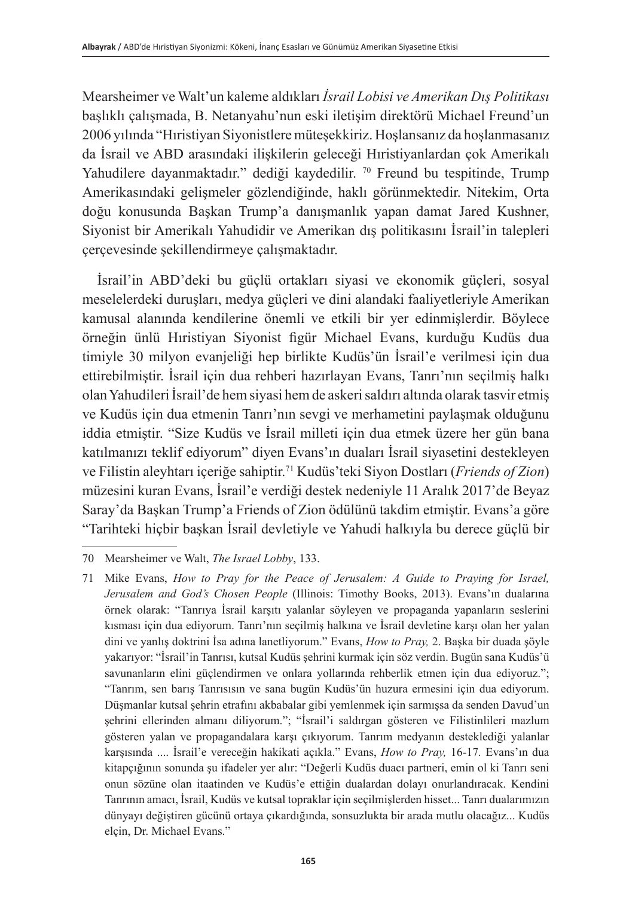Mearsheimer ve Walt'un kaleme aldıkları *İsrail Lobisi ve Amerikan Dış Politikası* başlıklı çalışmada, B. Netanyahu'nun eski iletişim direktörü Michael Freund'un 2006 yılında "Hıristiyan Siyonistlere müteşekkiriz. Hoşlansanız da hoşlanmasanız da İsrail ve ABD arasındaki ilişkilerin geleceği Hıristiyanlardan çok Amerikalı Yahudilere dayanmaktadır." dediği kaydedilir. <sup>70</sup> Freund bu tespitinde, Trump Amerikasındaki gelişmeler gözlendiğinde, haklı görünmektedir. Nitekim, Orta doğu konusunda Başkan Trump'a danışmanlık yapan damat Jared Kushner, Siyonist bir Amerikalı Yahudidir ve Amerikan dış politikasını İsrail'in talepleri çerçevesinde şekillendirmeye çalışmaktadır.

İsrail'in ABD'deki bu güçlü ortakları siyasi ve ekonomik güçleri, sosyal meselelerdeki duruşları, medya güçleri ve dini alandaki faaliyetleriyle Amerikan kamusal alanında kendilerine önemli ve etkili bir yer edinmişlerdir. Böylece örneğin ünlü Hıristiyan Siyonist figür Michael Evans, kurduğu Kudüs dua timiyle 30 milyon evanjeliği hep birlikte Kudüs'ün İsrail'e verilmesi için dua ettirebilmiştir. İsrail için dua rehberi hazırlayan Evans, Tanrı'nın seçilmiş halkı olan Yahudileri İsrail'de hem siyasi hem de askeri saldırı altında olarak tasvir etmiş ve Kudüs için dua etmenin Tanrı'nın sevgi ve merhametini paylaşmak olduğunu iddia etmiştir. "Size Kudüs ve İsrail milleti için dua etmek üzere her gün bana katılmanızı teklif ediyorum" diyen Evans'ın duaları İsrail siyasetini destekleyen ve Filistin aleyhtarı içeriğe sahiptir.<sup>71</sup> Kudüs'teki Siyon Dostları (*Friends of Zion*) müzesini kuran Evans, İsrail'e verdiği destek nedeniyle 11 Aralık 2017'de Beyaz Saray'da Başkan Trump'a Friends of Zion ödülünü takdim etmiştir. Evans'a göre "Tarihteki hiçbir başkan İsrail devletiyle ve Yahudi halkıyla bu derece güçlü bir

<sup>70</sup> Mearsheimer ve Walt, *The Israel Lobby*, 133.

<sup>71</sup> Mike Evans, *How to Pray for the Peace of Jerusalem: A Guide to Praying for Israel, Jerusalem and God's Chosen People* (Illinois: Timothy Books, 2013). Evans'ın dualarına örnek olarak: "Tanrıya İsrail karşıtı yalanlar söyleyen ve propaganda yapanların seslerini kısması için dua ediyorum. Tanrı'nın seçilmiş halkına ve İsrail devletine karşı olan her yalan dini ve yanlış doktrini İsa adına lanetliyorum." Evans, *How to Pray,* 2. Başka bir duada şöyle yakarıyor: "İsrail'in Tanrısı, kutsal Kudüs şehrini kurmak için söz verdin. Bugün sana Kudüs'ü savunanların elini güçlendirmen ve onlara yollarında rehberlik etmen için dua ediyoruz."; "Tanrım, sen barış Tanrısısın ve sana bugün Kudüs'ün huzura ermesini için dua ediyorum. Düşmanlar kutsal şehrin etrafını akbabalar gibi yemlenmek için sarmışsa da senden Davud'un şehrini ellerinden almanı diliyorum."; "İsrail'i saldırgan gösteren ve Filistinlileri mazlum gösteren yalan ve propagandalara karşı çıkıyorum. Tanrım medyanın desteklediği yalanlar karşısında .... İsrail'e vereceğin hakikati açıkla." Evans, *How to Pray,* 16-17*.* Evans'ın dua kitapçığının sonunda şu ifadeler yer alır: "Değerli Kudüs duacı partneri, emin ol ki Tanrı seni onun sözüne olan itaatinden ve Kudüs'e ettiğin dualardan dolayı onurlandıracak. Kendini Tanrının amacı, İsrail, Kudüs ve kutsal topraklar için seçilmişlerden hisset... Tanrı dualarımızın dünyayı değiştiren gücünü ortaya çıkardığında, sonsuzlukta bir arada mutlu olacağız... Kudüs elçin, Dr. Michael Evans."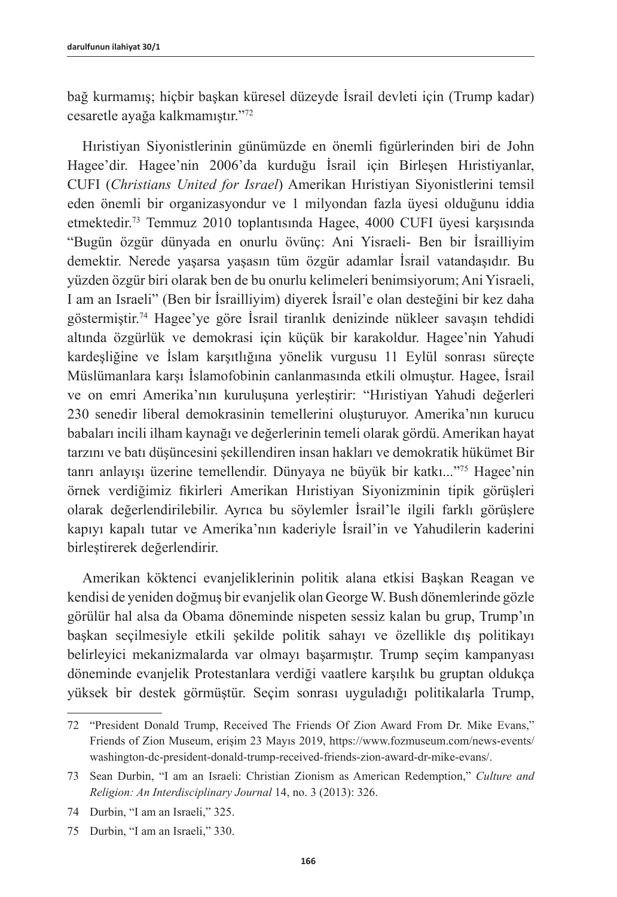bağ kurmamış; hiçbir başkan küresel düzeyde İsrail devleti için (Trump kadar) cesaretle ayağa kalkmamıştır."<sup>72</sup>

Hıristiyan Siyonistlerinin günümüzde en önemli figürlerinden biri de John Hagee'dir. Hagee'nin 2006'da kurduğu İsrail için Birleşen Hıristiyanlar, CUFI (*Christians United for Israel*) Amerikan Hıristiyan Siyonistlerini temsil eden önemli bir organizasyondur ve 1 milyondan fazla üyesi olduğunu iddia etmektedir.73 Temmuz 2010 toplantısında Hagee, 4000 CUFI üyesi karşısında "Bugün özgür dünyada en onurlu övünç: Ani Yisraeli- Ben bir İsrailliyim demektir. Nerede yaşarsa yaşasın tüm özgür adamlar İsrail vatandaşıdır. Bu yüzden özgür biri olarak ben de bu onurlu kelimeleri benimsiyorum; Ani Yisraeli, I am an Israeli" (Ben bir İsrailliyim) diyerek İsrail'e olan desteğini bir kez daha göstermiştir.<sup>74</sup> Hagee'ye göre İsrail tiranlık denizinde nükleer savaşın tehdidi altında özgürlük ve demokrasi için küçük bir karakoldur. Hagee'nin Yahudi kardeşliğine ve İslam karşıtlığına yönelik vurgusu 11 Eylül sonrası süreçte Müslümanlara karşı İslamofobinin canlanmasında etkili olmuştur. Hagee, İsrail ve on emri Amerika'nın kuruluşuna yerleştirir: "Hıristiyan Yahudi değerleri 230 senedir liberal demokrasinin temellerini oluşturuyor. Amerika'nın kurucu babaları incili ilham kaynağı ve değerlerinin temeli olarak gördü. Amerikan hayat tarzını ve batı düşüncesini şekillendiren insan hakları ve demokratik hükümet Bir tanrı anlayışı üzerine temellendir. Dünyaya ne büyük bir katkı..."75 Hagee'nin örnek verdiğimiz fikirleri Amerikan Hıristiyan Siyonizminin tipik görüşleri olarak değerlendirilebilir. Ayrıca bu söylemler İsrail'le ilgili farklı görüşlere kapıyı kapalı tutar ve Amerika'nın kaderiyle İsrail'in ve Yahudilerin kaderini birleştirerek değerlendirir.

Amerikan köktenci evanjeliklerinin politik alana etkisi Başkan Reagan ve kendisi de yeniden doğmuş bir evanjelik olan George W. Bush dönemlerinde gözle görülür hal alsa da Obama döneminde nispeten sessiz kalan bu grup, Trump'ın başkan seçilmesiyle etkili şekilde politik sahayı ve özellikle dış politikayı belirleyici mekanizmalarda var olmayı başarmıştır. Trump seçim kampanyası döneminde evanjelik Protestanlara verdiği vaatlere karşılık bu gruptan oldukça yüksek bir destek görmüştür. Seçim sonrası uyguladığı politikalarla Trump,

<sup>72</sup> "President Donald Trump, Received The Friends Of Zion Award From Dr. Mike Evans," Friends of Zion Museum, erişim 23 Mayıs 2019, [https://www.fozmuseum.com/news-events/](https://www.fozmuseum.com/news-events/washington-dc-president-donald-trump-received-friends-zion-award-dr-mike-evans/) [washington-dc-president-donald-trump-received-friends-zion-award-dr-mike-evans/](https://www.fozmuseum.com/news-events/washington-dc-president-donald-trump-received-friends-zion-award-dr-mike-evans/).

<sup>73</sup> Sean Durbin, "I am an Israeli: Christian Zionism as American Redemption," *Culture and Religion: An Interdisciplinary Journal* 14, no. 3 (2013): 326.

<sup>74</sup> Durbin, "I am an Israeli," 325.

<sup>75</sup> Durbin, "I am an Israeli," 330.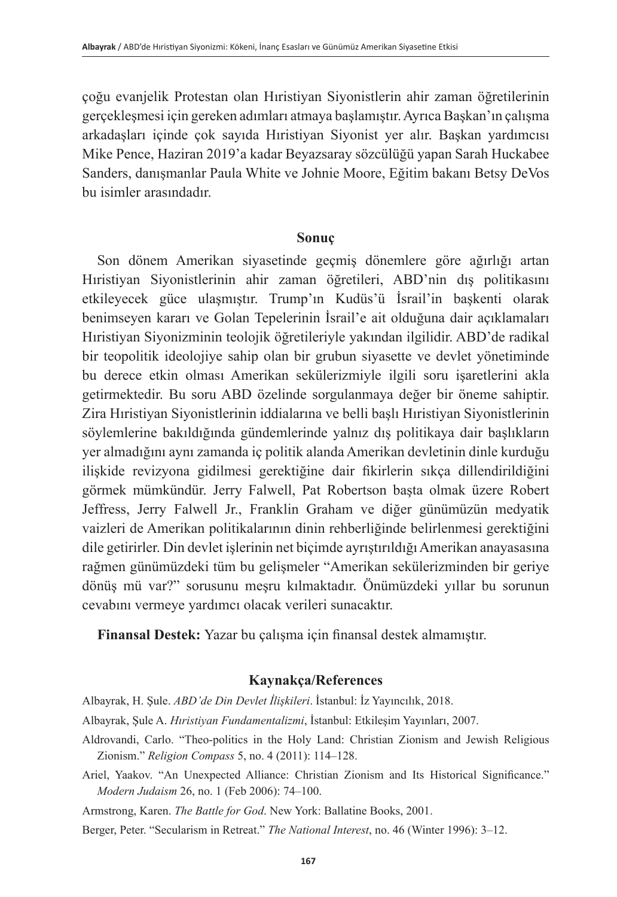çoğu evanjelik Protestan olan Hıristiyan Siyonistlerin ahir zaman öğretilerinin gerçekleşmesi için gereken adımları atmaya başlamıştır. Ayrıca Başkan'ın çalışma arkadaşları içinde çok sayıda Hıristiyan Siyonist yer alır. Başkan yardımcısı Mike Pence, Haziran 2019'a kadar Beyazsaray sözcülüğü yapan Sarah Huckabee Sanders, danışmanlar Paula White ve Johnie Moore, Eğitim bakanı Betsy DeVos bu isimler arasındadır.

### **Sonuç**

Son dönem Amerikan siyasetinde geçmiş dönemlere göre ağırlığı artan Hıristiyan Siyonistlerinin ahir zaman öğretileri, ABD'nin dış politikasını etkileyecek güce ulaşmıştır. Trump'ın Kudüs'ü İsrail'in başkenti olarak benimseyen kararı ve Golan Tepelerinin İsrail'e ait olduğuna dair açıklamaları Hıristiyan Siyonizminin teolojik öğretileriyle yakından ilgilidir. ABD'de radikal bir teopolitik ideolojiye sahip olan bir grubun siyasette ve devlet yönetiminde bu derece etkin olması Amerikan sekülerizmiyle ilgili soru işaretlerini akla getirmektedir. Bu soru ABD özelinde sorgulanmaya değer bir öneme sahiptir. Zira Hıristiyan Siyonistlerinin iddialarına ve belli başlı Hıristiyan Siyonistlerinin söylemlerine bakıldığında gündemlerinde yalnız dış politikaya dair başlıkların yer almadığını aynı zamanda iç politik alanda Amerikan devletinin dinle kurduğu ilişkide revizyona gidilmesi gerektiğine dair fikirlerin sıkça dillendirildiğini görmek mümkündür. Jerry Falwell, Pat Robertson başta olmak üzere Robert Jeffress, Jerry Falwell Jr., Franklin Graham ve diğer günümüzün medyatik vaizleri de Amerikan politikalarının dinin rehberliğinde belirlenmesi gerektiğini dile getirirler. Din devlet işlerinin net biçimde ayrıştırıldığı Amerikan anayasasına rağmen günümüzdeki tüm bu gelişmeler "Amerikan sekülerizminden bir geriye dönüş mü var?" sorusunu meşru kılmaktadır. Önümüzdeki yıllar bu sorunun cevabını vermeye yardımcı olacak verileri sunacaktır.

**Finansal Destek:** Yazar bu çalışma için finansal destek almamıştır.

### **Kaynakça/References**

Albayrak, H. Şule. *ABD'de Din Devlet İlişkileri*. İstanbul: İz Yayıncılık, 2018.

- Albayrak, Şule A. *Hıristiyan Fundamentalizmi*, İstanbul: Etkileşim Yayınları, 2007.
- Aldrovandi, Carlo. "Theo-politics in the Holy Land: Christian Zionism and Jewish Religious Zionism." *Religion Compass* 5, no. 4 (2011): 114–128.
- Ariel, Yaakov. "An Unexpected Alliance: Christian Zionism and Its Historical Significance." *Modern Judaism* 26, no. 1 (Feb 2006): 74–100.

Armstrong, Karen. *The Battle for God*. New York: Ballatine Books, 2001.

Berger, Peter. "Secularism in Retreat." *The National Interest*, no. 46 (Winter 1996): 3–12.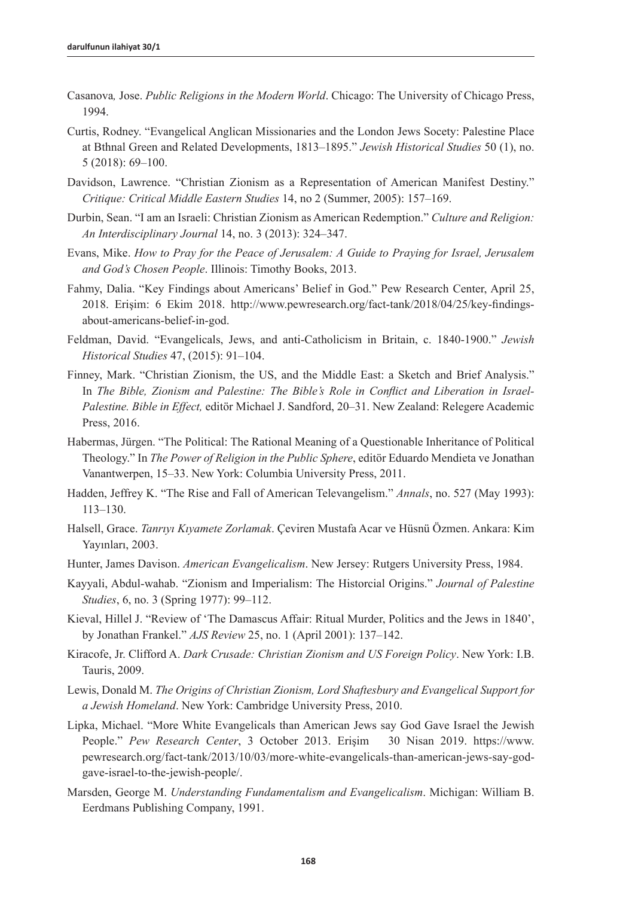- Casanova*,* Jose. *Public Religions in the Modern World*. Chicago: The University of Chicago Press, 1994.
- Curtis, Rodney. "Evangelical Anglican Missionaries and the London Jews Socety: Palestine Place at Bthnal Green and Related Developments, 1813–1895." *Jewish Historical Studies* 50 (1), no. 5 (2018): 69–100.
- Davidson, Lawrence. "Christian Zionism as a Representation of American Manifest Destiny." *Critique: Critical Middle Eastern Studies* 14, no 2 (Summer, 2005): 157–169.
- Durbin, Sean. "I am an Israeli: Christian Zionism as American Redemption." *Culture and Religion: An Interdisciplinary Journal* 14, no. 3 (2013): 324–347.
- Evans, Mike. *How to Pray for the Peace of Jerusalem: A Guide to Praying for Israel, Jerusalem and God's Chosen People*. Illinois: Timothy Books, 2013.
- Fahmy, Dalia. "Key Findings about Americans' Belief in God." Pew Research Center, April 25, 2018. Erişim: 6 Ekim 2018. [http://www.pewresearch.org/fact-tank/2018/04/25/key-findings](http://www.pewresearch.org/fact-tank/2018/04/25/key-findings-about-americans-belief-in-god)[about-americans-belief-in-god.](http://www.pewresearch.org/fact-tank/2018/04/25/key-findings-about-americans-belief-in-god)
- Feldman, David. "Evangelicals, Jews, and anti-Catholicism in Britain, c. 1840-1900." *Jewish Historical Studies* 47, (2015): 91–104.
- Finney, Mark. "Christian Zionism, the US, and the Middle East: a Sketch and Brief Analysis." In *The Bible, Zionism and Palestine: The Bible's Role in Conflict and Liberation in Israel-Palestine. Bible in Effect,* editör Michael J. Sandford, 20–31. New Zealand: Relegere Academic Press, 2016.
- Habermas, Jürgen. "The Political: The Rational Meaning of a Questionable Inheritance of Political Theology." In *The Power of Religion in the Public Sphere*, editör Eduardo Mendieta ve Jonathan Vanantwerpen, 15–33. New York: Columbia University Press, 2011.
- Hadden, Jeffrey K. "The Rise and Fall of American Televangelism." *Annals*, no. 527 (May 1993): 113–130.
- Halsell, Grace. *Tanrıyı Kıyamete Zorlamak*. Çeviren Mustafa Acar ve Hüsnü Özmen. Ankara: Kim Yayınları, 2003.
- Hunter, James Davison. *American Evangelicalism*. New Jersey: Rutgers University Press, 1984.
- Kayyali, Abdul-wahab. "Zionism and Imperialism: The Historcial Origins." *Journal of Palestine Studies*, 6, no. 3 (Spring 1977): 99–112.
- Kieval, Hillel J. "Review of 'The Damascus Affair: Ritual Murder, Politics and the Jews in 1840', by Jonathan Frankel." *AJS Review* 25, no. 1 (April 2001): 137–142.
- Kiracofe, Jr. Clifford A. *Dark Crusade: Christian Zionism and US Foreign Policy*. New York: I.B. Tauris, 2009.
- Lewis, Donald M. *The Origins of Christian Zionism, Lord Shaftesbury and Evangelical Support for a Jewish Homeland*. New York: Cambridge University Press, 2010.
- Lipka, Michael. "More White Evangelicals than American Jews say God Gave Israel the Jewish People." *Pew Research Center*, 3 October 2013. Erişim 30 Nisan 2019. [https://www.](https://www.pewresearch.org/fact-tank/2013/10/03/more-white-evangelicals-than-american-jews-say-god-gave-israel-to-the-jewish-people/) [pewresearch.org/fact-tank/2013/10/03/more-white-evangelicals-than-american-jews-say-god](https://www.pewresearch.org/fact-tank/2013/10/03/more-white-evangelicals-than-american-jews-say-god-gave-israel-to-the-jewish-people/)[gave-israel-to-the-jewish-people/.](https://www.pewresearch.org/fact-tank/2013/10/03/more-white-evangelicals-than-american-jews-say-god-gave-israel-to-the-jewish-people/)
- Marsden, George M. *Understanding Fundamentalism and Evangelicalism*. Michigan: William B. Eerdmans Publishing Company, 1991.